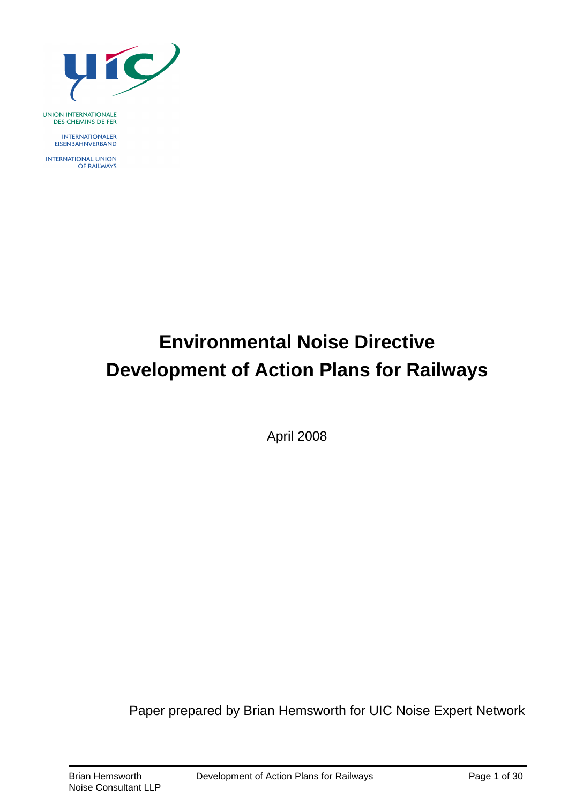

UNION INTERNATIONALE<br>DES CHEMINS DE FER

**INTERNATIONALER** EISENBAHNVERBAND

**INTERNATIONAL UNION** OF RAILWAYS

# **Environmental Noise Directive Development of Action Plans for Railways**

April 2008

Paper prepared by Brian Hemsworth for UIC Noise Expert Network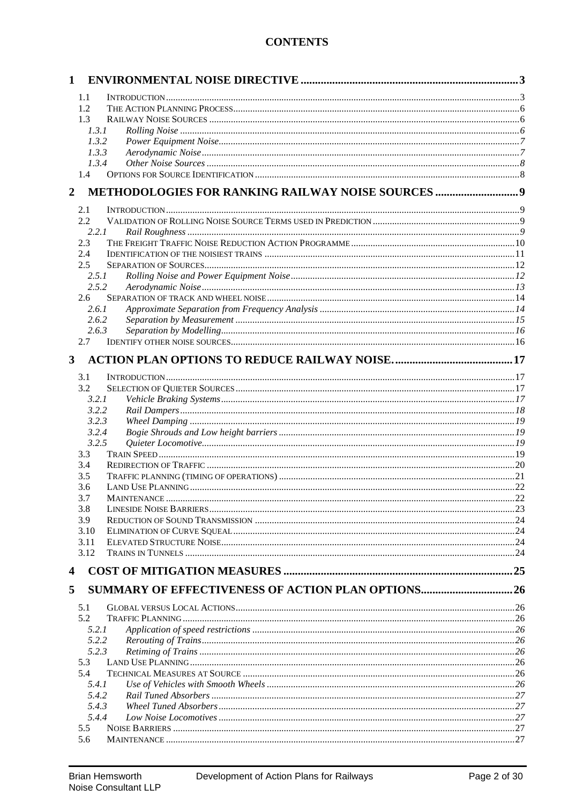# **CONTENTS**

| 1            |                |                                                           |    |
|--------------|----------------|-----------------------------------------------------------|----|
|              | 1.1            |                                                           |    |
|              | 1.2            |                                                           |    |
|              | 1.3            |                                                           |    |
|              | 1.3.1          |                                                           |    |
|              | 1.3.2          |                                                           |    |
|              | 1.3.3          |                                                           |    |
|              | 1.3.4          |                                                           |    |
|              | 1.4            |                                                           |    |
| 2            |                |                                                           |    |
|              | 2.1            |                                                           |    |
|              | 2.2            |                                                           |    |
|              | 2.2.1          |                                                           |    |
|              | 2.3            |                                                           |    |
|              | 2.4            |                                                           |    |
|              | 2.5            |                                                           |    |
|              | 2.5.1          |                                                           |    |
|              | 2.5.2          |                                                           |    |
|              | 2.6<br>2.6.1   |                                                           |    |
|              | 2.6.2          |                                                           |    |
|              | 2.6.3          |                                                           |    |
|              | 2.7            |                                                           |    |
|              |                |                                                           |    |
| $\mathbf{3}$ |                |                                                           |    |
|              | 3.1            |                                                           |    |
|              | 3.2            |                                                           |    |
|              | 3.2.1          |                                                           |    |
|              | 3.2.2          |                                                           |    |
|              | 3.2.3          |                                                           |    |
|              | 3.2.4<br>3.2.5 |                                                           |    |
|              | 3.3            |                                                           |    |
|              | 3.4            |                                                           |    |
|              | 3.5            |                                                           |    |
|              | 3.6            |                                                           |    |
|              | 3.7            | <b>MAINTENANCE</b>                                        | 22 |
|              | 3.8            |                                                           |    |
|              | 3.9            |                                                           |    |
|              | 3.10           |                                                           |    |
|              | 3.11<br>3.12   |                                                           |    |
|              |                |                                                           |    |
| 4            |                |                                                           |    |
| 5            |                | <b>SUMMARY OF EFFECTIVENESS OF ACTION PLAN OPTIONS 26</b> |    |
|              |                |                                                           |    |
|              | 5.1            |                                                           |    |
|              | 5.2            |                                                           |    |
|              | 5.2.1<br>5.2.2 |                                                           |    |
|              | 5.2.3          |                                                           |    |
|              | 5.3            |                                                           |    |
|              | 5.4            |                                                           |    |
|              | 5.4.1          |                                                           |    |
|              | 5.4.2          |                                                           |    |
|              | 5.4.3          |                                                           |    |
|              | 5.4.4          |                                                           |    |
|              | 5.5            |                                                           |    |
|              | 5.6            |                                                           |    |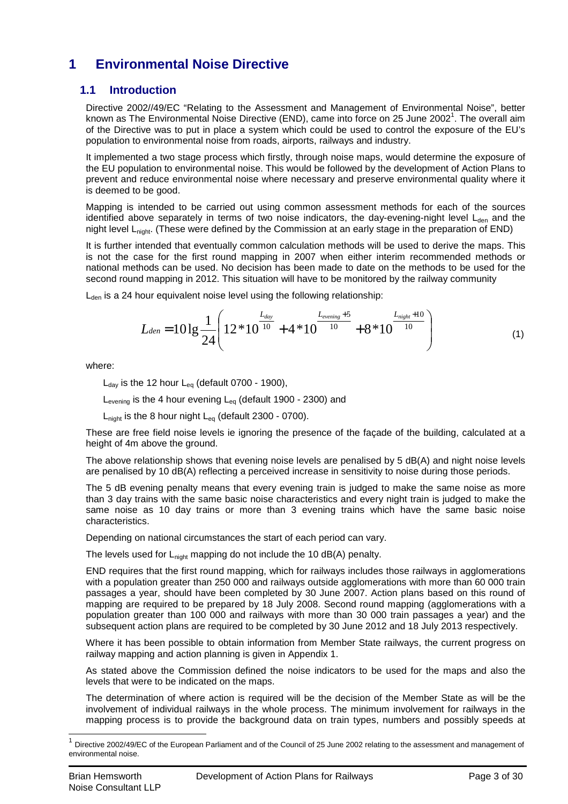# **1 Environmental Noise Directive**

# **1.1 Introduction**

Directive 2002//49/EC "Relating to the Assessment and Management of Environmental Noise", better known as The Environmental Noise Directive (END), came into force on 25 June 2002<sup>1</sup>. The overall aim of the Directive was to put in place a system which could be used to control the exposure of the EU's population to environmental noise from roads, airports, railways and industry.

It implemented a two stage process which firstly, through noise maps, would determine the exposure of the EU population to environmental noise. This would be followed by the development of Action Plans to prevent and reduce environmental noise where necessary and preserve environmental quality where it is deemed to be good.

Mapping is intended to be carried out using common assessment methods for each of the sources identified above separately in terms of two noise indicators, the day-evening-night level  $L<sub>den</sub>$  and the night level Lnight. (These were defined by the Commission at an early stage in the preparation of END)

It is further intended that eventually common calculation methods will be used to derive the maps. This is not the case for the first round mapping in 2007 when either interim recommended methods or national methods can be used. No decision has been made to date on the methods to be used for the second round mapping in 2012. This situation will have to be monitored by the railway community

 $L<sub>den</sub>$  is a 24 hour equivalent noise level using the following relationship:

$$
L_{den} = 101g \frac{1}{24} \left( 12 * 10^{-10} + 4 * 10^{-10} + 8 * 10^{-10} \right) \tag{1}
$$

where:

 $L_{day}$  is the 12 hour  $L_{eq}$  (default 0700 - 1900),

 $L_{\text{evening}}$  is the 4 hour evening  $L_{\text{eq}}$  (default 1900 - 2300) and

 $L<sub>night</sub>$  is the 8 hour night  $L<sub>eq</sub>$  (default 2300 - 0700).

These are free field noise levels ie ignoring the presence of the façade of the building, calculated at a height of 4m above the ground.

The above relationship shows that evening noise levels are penalised by 5 dB(A) and night noise levels are penalised by 10 dB(A) reflecting a perceived increase in sensitivity to noise during those periods.

The 5 dB evening penalty means that every evening train is judged to make the same noise as more than 3 day trains with the same basic noise characteristics and every night train is judged to make the same noise as 10 day trains or more than 3 evening trains which have the same basic noise characteristics.

Depending on national circumstances the start of each period can vary.

The levels used for  $L_{\text{nicht}}$  mapping do not include the 10 dB(A) penalty.

END requires that the first round mapping, which for railways includes those railways in agglomerations with a population greater than 250 000 and railways outside agglomerations with more than 60 000 train passages a year, should have been completed by 30 June 2007. Action plans based on this round of mapping are required to be prepared by 18 July 2008. Second round mapping (agglomerations with a population greater than 100 000 and railways with more than 30 000 train passages a year) and the subsequent action plans are required to be completed by 30 June 2012 and 18 July 2013 respectively.

Where it has been possible to obtain information from Member State railways, the current progress on railway mapping and action planning is given in Appendix 1.

As stated above the Commission defined the noise indicators to be used for the maps and also the levels that were to be indicated on the maps.

The determination of where action is required will be the decision of the Member State as will be the involvement of individual railways in the whole process. The minimum involvement for railways in the mapping process is to provide the background data on train types, numbers and possibly speeds at

 $\overline{\phantom{a}}$ 

<sup>1</sup> Directive 2002/49/EC of the European Parliament and of the Council of 25 June 2002 relating to the assessment and management of environmental noise.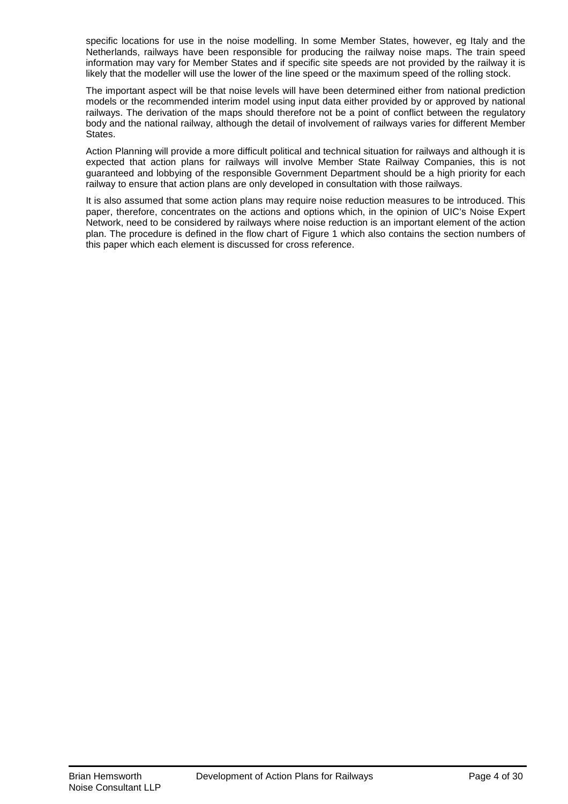specific locations for use in the noise modelling. In some Member States, however, eg Italy and the Netherlands, railways have been responsible for producing the railway noise maps. The train speed information may vary for Member States and if specific site speeds are not provided by the railway it is likely that the modeller will use the lower of the line speed or the maximum speed of the rolling stock.

The important aspect will be that noise levels will have been determined either from national prediction models or the recommended interim model using input data either provided by or approved by national railways. The derivation of the maps should therefore not be a point of conflict between the regulatory body and the national railway, although the detail of involvement of railways varies for different Member States.

Action Planning will provide a more difficult political and technical situation for railways and although it is expected that action plans for railways will involve Member State Railway Companies, this is not guaranteed and lobbying of the responsible Government Department should be a high priority for each railway to ensure that action plans are only developed in consultation with those railways.

It is also assumed that some action plans may require noise reduction measures to be introduced. This paper, therefore, concentrates on the actions and options which, in the opinion of UIC's Noise Expert Network, need to be considered by railways where noise reduction is an important element of the action plan. The procedure is defined in the flow chart of Figure 1 which also contains the section numbers of this paper which each element is discussed for cross reference.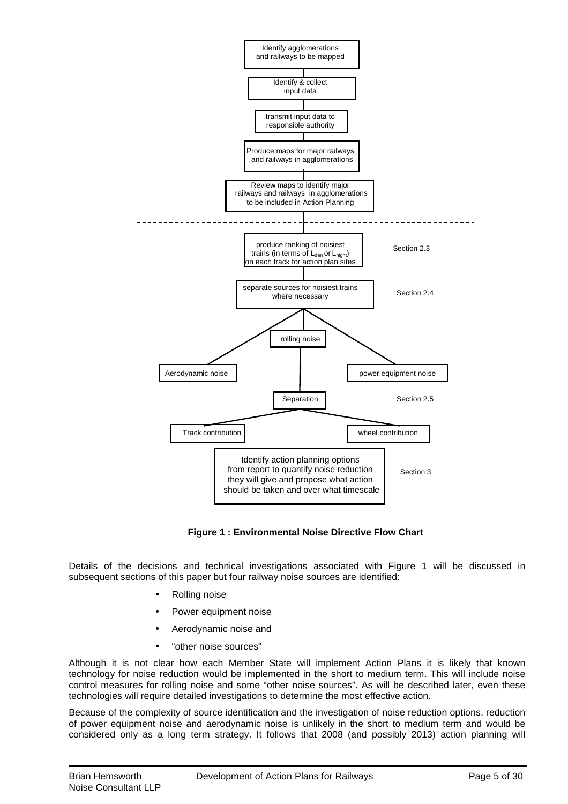

**Figure 1 : Environmental Noise Directive Flow Chart**

Details of the decisions and technical investigations associated with Figure 1 will be discussed in subsequent sections of this paper but four railway noise sources are identified:

- Rolling noise
- Power equipment noise
- Aerodynamic noise and
- "other noise sources"

Although it is not clear how each Member State will implement Action Plans it is likely that known technology for noise reduction would be implemented in the short to medium term. This will include noise control measures for rolling noise and some "other noise sources". As will be described later, even these technologies will require detailed investigations to determine the most effective action.

Because of the complexity of source identification and the investigation of noise reduction options, reduction of power equipment noise and aerodynamic noise is unlikely in the short to medium term and would be considered only as a long term strategy. It follows that 2008 (and possibly 2013) action planning will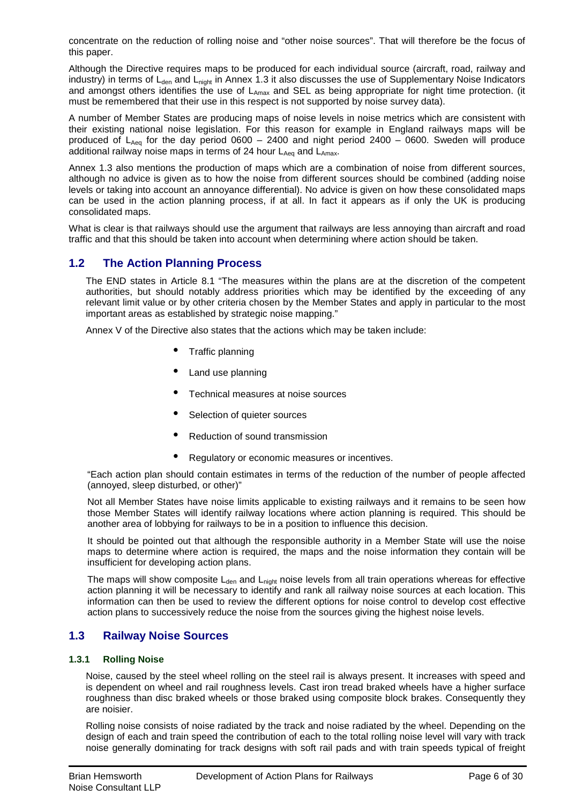concentrate on the reduction of rolling noise and "other noise sources". That will therefore be the focus of this paper.

Although the Directive requires maps to be produced for each individual source (aircraft, road, railway and industry) in terms of  $L_{den}$  and  $L_{nicht}$  in Annex 1.3 it also discusses the use of Supplementary Noise Indicators and amongst others identifies the use of L<sub>Amax</sub> and SEL as being appropriate for night time protection. (it must be remembered that their use in this respect is not supported by noise survey data).

A number of Member States are producing maps of noise levels in noise metrics which are consistent with their existing national noise legislation. For this reason for example in England railways maps will be produced of  $L_{Aeq}$  for the day period 0600 – 2400 and night period 2400 – 0600. Sweden will produce additional railway noise maps in terms of 24 hour  $L_{Aeq}$  and  $L_{Amax}$ .

Annex 1.3 also mentions the production of maps which are a combination of noise from different sources, although no advice is given as to how the noise from different sources should be combined (adding noise levels or taking into account an annoyance differential). No advice is given on how these consolidated maps can be used in the action planning process, if at all. In fact it appears as if only the UK is producing consolidated maps.

What is clear is that railways should use the argument that railways are less annoying than aircraft and road traffic and that this should be taken into account when determining where action should be taken.

# **1.2 The Action Planning Process**

The END states in Article 8.1 "The measures within the plans are at the discretion of the competent authorities, but should notably address priorities which may be identified by the exceeding of any relevant limit value or by other criteria chosen by the Member States and apply in particular to the most important areas as established by strategic noise mapping."

Annex V of the Directive also states that the actions which may be taken include:

- Traffic planning
- Land use planning
- Technical measures at noise sources
- Selection of quieter sources
- Reduction of sound transmission
- Regulatory or economic measures or incentives.

"Each action plan should contain estimates in terms of the reduction of the number of people affected (annoyed, sleep disturbed, or other)"

Not all Member States have noise limits applicable to existing railways and it remains to be seen how those Member States will identify railway locations where action planning is required. This should be another area of lobbying for railways to be in a position to influence this decision.

It should be pointed out that although the responsible authority in a Member State will use the noise maps to determine where action is required, the maps and the noise information they contain will be insufficient for developing action plans.

The maps will show composite  $L<sub>den</sub>$  and  $L<sub>night</sub>$  noise levels from all train operations whereas for effective action planning it will be necessary to identify and rank all railway noise sources at each location. This information can then be used to review the different options for noise control to develop cost effective action plans to successively reduce the noise from the sources giving the highest noise levels.

# **1.3 Railway Noise Sources**

### **1.3.1 Rolling Noise**

Noise, caused by the steel wheel rolling on the steel rail is always present. It increases with speed and is dependent on wheel and rail roughness levels. Cast iron tread braked wheels have a higher surface roughness than disc braked wheels or those braked using composite block brakes. Consequently they are noisier.

Rolling noise consists of noise radiated by the track and noise radiated by the wheel. Depending on the design of each and train speed the contribution of each to the total rolling noise level will vary with track noise generally dominating for track designs with soft rail pads and with train speeds typical of freight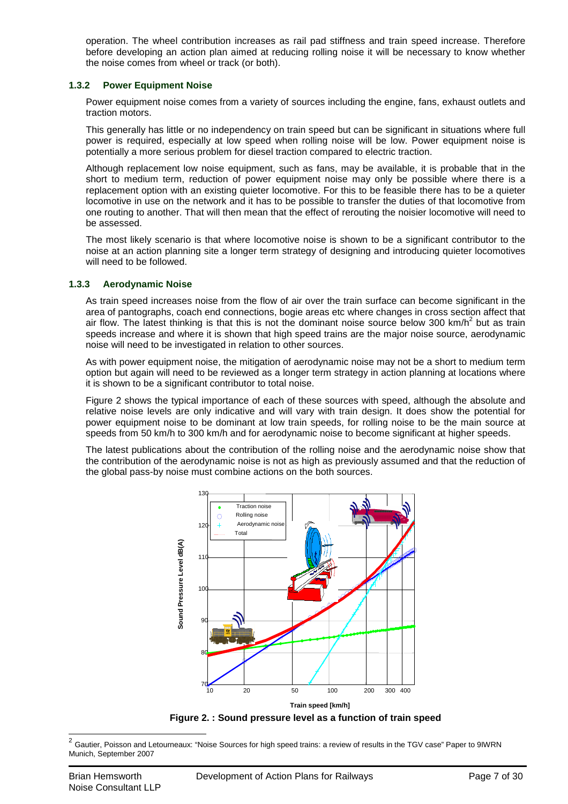operation. The wheel contribution increases as rail pad stiffness and train speed increase. Therefore before developing an action plan aimed at reducing rolling noise it will be necessary to know whether the noise comes from wheel or track (or both).

### **1.3.2 Power Equipment Noise**

Power equipment noise comes from a variety of sources including the engine, fans, exhaust outlets and traction motors.

This generally has little or no independency on train speed but can be significant in situations where full power is required, especially at low speed when rolling noise will be low. Power equipment noise is potentially a more serious problem for diesel traction compared to electric traction.

Although replacement low noise equipment, such as fans, may be available, it is probable that in the short to medium term, reduction of power equipment noise may only be possible where there is a replacement option with an existing quieter locomotive. For this to be feasible there has to be a quieter locomotive in use on the network and it has to be possible to transfer the duties of that locomotive from one routing to another. That will then mean that the effect of rerouting the noisier locomotive will need to be assessed.

The most likely scenario is that where locomotive noise is shown to be a significant contributor to the noise at an action planning site a longer term strategy of designing and introducing quieter locomotives will need to be followed.

### **1.3.3 Aerodynamic Noise**

As train speed increases noise from the flow of air over the train surface can become significant in the area of pantographs, coach end connections, bogie areas etc where changes in cross section affect that air flow. The latest thinking is that this is not the dominant noise source below 300 km/h<sup>2</sup> but as train speeds increase and where it is shown that high speed trains are the major noise source, aerodynamic noise will need to be investigated in relation to other sources.

As with power equipment noise, the mitigation of aerodynamic noise may not be a short to medium term option but again will need to be reviewed as a longer term strategy in action planning at locations where it is shown to be a significant contributor to total noise.

Figure 2 shows the typical importance of each of these sources with speed, although the absolute and relative noise levels are only indicative and will vary with train design. It does show the potential for power equipment noise to be dominant at low train speeds, for rolling noise to be the main source at speeds from 50 km/h to 300 km/h and for aerodynamic noise to become significant at higher speeds.

The latest publications about the contribution of the rolling noise and the aerodynamic noise show that the contribution of the aerodynamic noise is not as high as previously assumed and that the reduction of the global pass-by noise must combine actions on the both sources.



**Figure 2. : Sound pressure level as a function of train speed**

<sup>&</sup>lt;sup>2</sup> Gautier, Poisson and Letourneaux: "Noise Sources for high speed trains: a review of results in the TGV case" Paper to 9IWRN Munich, September 2007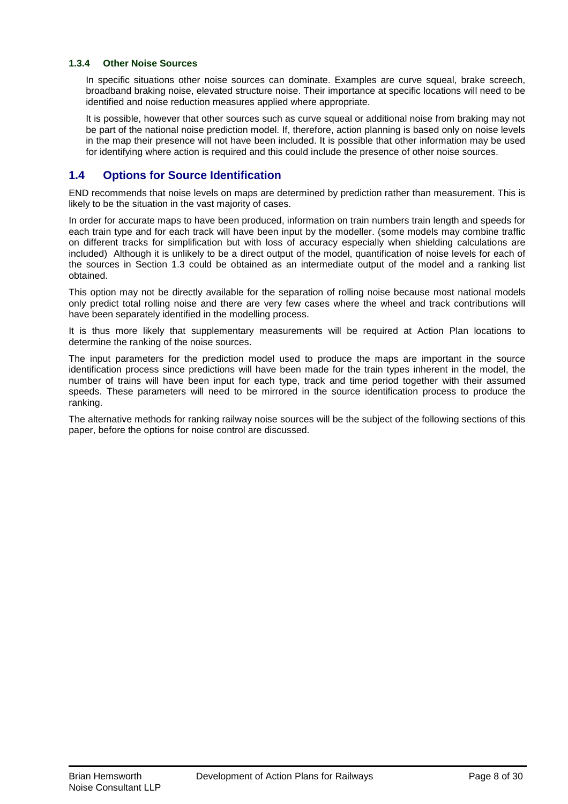### **1.3.4 Other Noise Sources**

In specific situations other noise sources can dominate. Examples are curve squeal, brake screech, broadband braking noise, elevated structure noise. Their importance at specific locations will need to be identified and noise reduction measures applied where appropriate.

It is possible, however that other sources such as curve squeal or additional noise from braking may not be part of the national noise prediction model. If, therefore, action planning is based only on noise levels in the map their presence will not have been included. It is possible that other information may be used for identifying where action is required and this could include the presence of other noise sources.

# **1.4 Options for Source Identification**

END recommends that noise levels on maps are determined by prediction rather than measurement. This is likely to be the situation in the vast majority of cases.

In order for accurate maps to have been produced, information on train numbers train length and speeds for each train type and for each track will have been input by the modeller. (some models may combine traffic on different tracks for simplification but with loss of accuracy especially when shielding calculations are included) Although it is unlikely to be a direct output of the model, quantification of noise levels for each of the sources in Section 1.3 could be obtained as an intermediate output of the model and a ranking list obtained.

This option may not be directly available for the separation of rolling noise because most national models only predict total rolling noise and there are very few cases where the wheel and track contributions will have been separately identified in the modelling process.

It is thus more likely that supplementary measurements will be required at Action Plan locations to determine the ranking of the noise sources.

The input parameters for the prediction model used to produce the maps are important in the source identification process since predictions will have been made for the train types inherent in the model, the number of trains will have been input for each type, track and time period together with their assumed speeds. These parameters will need to be mirrored in the source identification process to produce the ranking.

The alternative methods for ranking railway noise sources will be the subject of the following sections of this paper, before the options for noise control are discussed.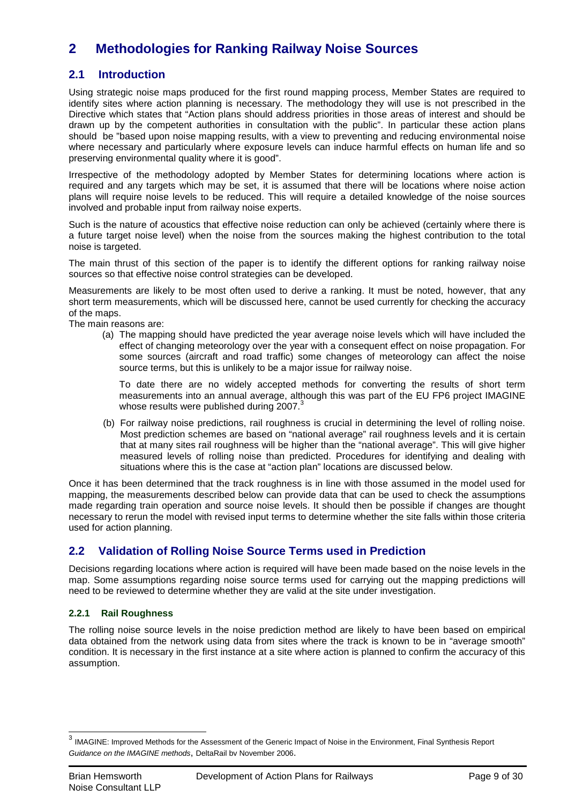# **2 Methodologies for Ranking Railway Noise Sources**

# **2.1 Introduction**

Using strategic noise maps produced for the first round mapping process, Member States are required to identify sites where action planning is necessary. The methodology they will use is not prescribed in the Directive which states that "Action plans should address priorities in those areas of interest and should be drawn up by the competent authorities in consultation with the public". In particular these action plans should be "based upon noise mapping results, with a view to preventing and reducing environmental noise where necessary and particularly where exposure levels can induce harmful effects on human life and so preserving environmental quality where it is good".

Irrespective of the methodology adopted by Member States for determining locations where action is required and any targets which may be set, it is assumed that there will be locations where noise action plans will require noise levels to be reduced. This will require a detailed knowledge of the noise sources involved and probable input from railway noise experts.

Such is the nature of acoustics that effective noise reduction can only be achieved (certainly where there is a future target noise level) when the noise from the sources making the highest contribution to the total noise is targeted.

The main thrust of this section of the paper is to identify the different options for ranking railway noise sources so that effective noise control strategies can be developed.

Measurements are likely to be most often used to derive a ranking. It must be noted, however, that any short term measurements, which will be discussed here, cannot be used currently for checking the accuracy of the maps.

The main reasons are:

(a) The mapping should have predicted the year average noise levels which will have included the effect of changing meteorology over the year with a consequent effect on noise propagation. For some sources (aircraft and road traffic) some changes of meteorology can affect the noise source terms, but this is unlikely to be a major issue for railway noise.

To date there are no widely accepted methods for converting the results of short term measurements into an annual average, although this was part of the EU FP6 project IMAGINE whose results were published during 2007.<sup>3</sup>

(b) For railway noise predictions, rail roughness is crucial in determining the level of rolling noise. Most prediction schemes are based on "national average" rail roughness levels and it is certain that at many sites rail roughness will be higher than the "national average". This will give higher measured levels of rolling noise than predicted. Procedures for identifying and dealing with situations where this is the case at "action plan" locations are discussed below.

Once it has been determined that the track roughness is in line with those assumed in the model used for mapping, the measurements described below can provide data that can be used to check the assumptions made regarding train operation and source noise levels. It should then be possible if changes are thought necessary to rerun the model with revised input terms to determine whether the site falls within those criteria used for action planning.

# **2.2 Validation of Rolling Noise Source Terms used in Prediction**

Decisions regarding locations where action is required will have been made based on the noise levels in the map. Some assumptions regarding noise source terms used for carrying out the mapping predictions will need to be reviewed to determine whether they are valid at the site under investigation.

### **2.2.1 Rail Roughness**

The rolling noise source levels in the noise prediction method are likely to have been based on empirical data obtained from the network using data from sites where the track is known to be in "average smooth" condition. It is necessary in the first instance at a site where action is planned to confirm the accuracy of this assumption.

 3 IMAGINE: Improved Methods for the Assessment of the Generic Impact of Noise in the Environment, Final Synthesis Report Guidance on the IMAGINE methods, DeltaRail bv November 2006.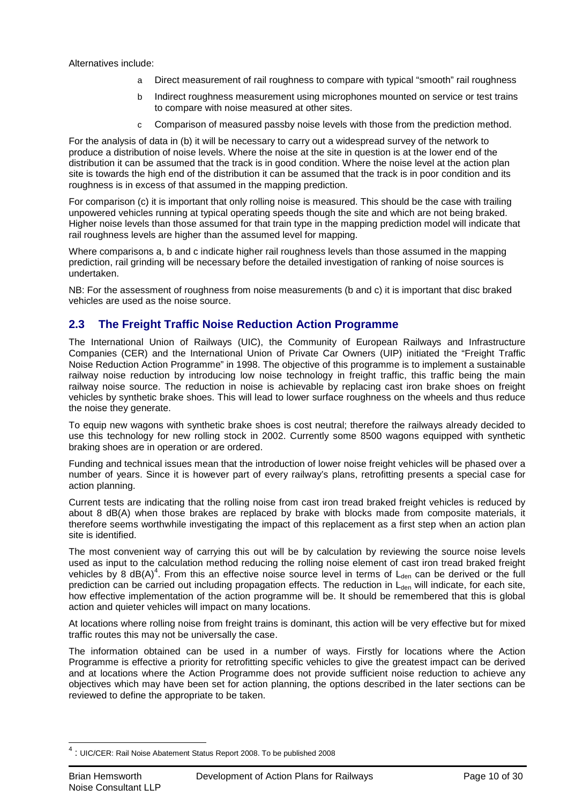Alternatives include:

- a Direct measurement of rail roughness to compare with typical "smooth" rail roughness
- b Indirect roughness measurement using microphones mounted on service or test trains to compare with noise measured at other sites.
- c Comparison of measured passby noise levels with those from the prediction method.

For the analysis of data in (b) it will be necessary to carry out a widespread survey of the network to produce a distribution of noise levels. Where the noise at the site in question is at the lower end of the distribution it can be assumed that the track is in good condition. Where the noise level at the action plan site is towards the high end of the distribution it can be assumed that the track is in poor condition and its roughness is in excess of that assumed in the mapping prediction.

For comparison (c) it is important that only rolling noise is measured. This should be the case with trailing unpowered vehicles running at typical operating speeds though the site and which are not being braked. Higher noise levels than those assumed for that train type in the mapping prediction model will indicate that rail roughness levels are higher than the assumed level for mapping.

Where comparisons a, b and c indicate higher rail roughness levels than those assumed in the mapping prediction, rail grinding will be necessary before the detailed investigation of ranking of noise sources is undertaken.

NB: For the assessment of roughness from noise measurements (b and c) it is important that disc braked vehicles are used as the noise source.

# **2.3 The Freight Traffic Noise Reduction Action Programme**

The International Union of Railways (UIC), the Community of European Railways and Infrastructure Companies (CER) and the International Union of Private Car Owners (UIP) initiated the "Freight Traffic Noise Reduction Action Programme" in 1998. The objective of this programme is to implement a sustainable railway noise reduction by introducing low noise technology in freight traffic, this traffic being the main railway noise source. The reduction in noise is achievable by replacing cast iron brake shoes on freight vehicles by synthetic brake shoes. This will lead to lower surface roughness on the wheels and thus reduce the noise they generate.

To equip new wagons with synthetic brake shoes is cost neutral; therefore the railways already decided to use this technology for new rolling stock in 2002. Currently some 8500 wagons equipped with synthetic braking shoes are in operation or are ordered.

Funding and technical issues mean that the introduction of lower noise freight vehicles will be phased over a number of years. Since it is however part of every railway's plans, retrofitting presents a special case for action planning.

Current tests are indicating that the rolling noise from cast iron tread braked freight vehicles is reduced by about 8 dB(A) when those brakes are replaced by brake with blocks made from composite materials, it therefore seems worthwhile investigating the impact of this replacement as a first step when an action plan site is identified.

The most convenient way of carrying this out will be by calculation by reviewing the source noise levels used as input to the calculation method reducing the rolling noise element of cast iron tread braked freight vehicles by 8  $dB(A)^4$ . From this an effective noise source level in terms of  $L_{den}$  can be derived or the full prediction can be carried out including propagation effects. The reduction in L<sub>den</sub> will indicate, for each site, how effective implementation of the action programme will be. It should be remembered that this is global action and quieter vehicles will impact on many locations.

At locations where rolling noise from freight trains is dominant, this action will be very effective but for mixed traffic routes this may not be universally the case.

The information obtained can be used in a number of ways. Firstly for locations where the Action Programme is effective a priority for retrofitting specific vehicles to give the greatest impact can be derived and at locations where the Action Programme does not provide sufficient noise reduction to achieve any objectives which may have been set for action planning, the options described in the later sections can be reviewed to define the appropriate to be taken.

 4 : UIC/CER: Rail Noise Abatement Status Report 2008. To be published 2008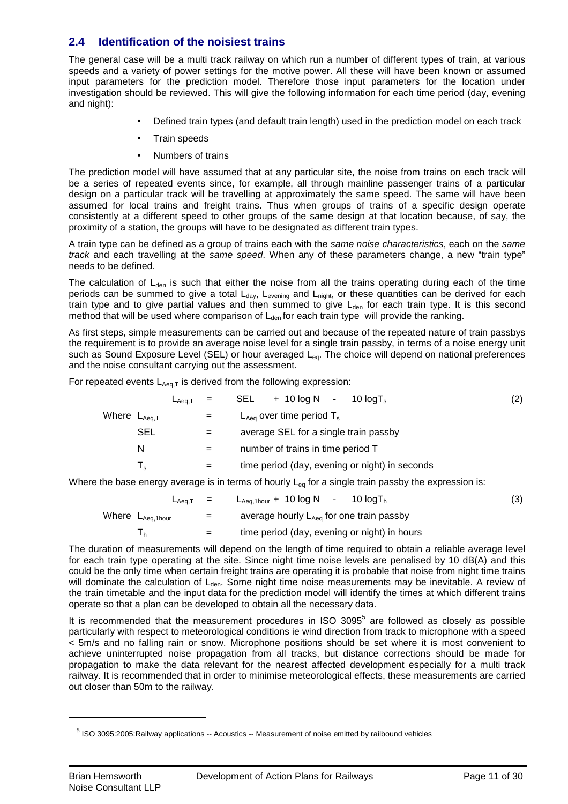# **2.4 Identification of the noisiest trains**

The general case will be a multi track railway on which run a number of different types of train, at various speeds and a variety of power settings for the motive power. All these will have been known or assumed input parameters for the prediction model. Therefore those input parameters for the location under investigation should be reviewed. This will give the following information for each time period (day, evening and night):

- Defined train types (and default train length) used in the prediction model on each track
- Train speeds
- Numbers of trains

The prediction model will have assumed that at any particular site, the noise from trains on each track will be a series of repeated events since, for example, all through mainline passenger trains of a particular design on a particular track will be travelling at approximately the same speed. The same will have been assumed for local trains and freight trains. Thus when groups of trains of a specific design operate consistently at a different speed to other groups of the same design at that location because, of say, the proximity of a station, the groups will have to be designated as different train types.

A train type can be defined as a group of trains each with the same noise characteristics, each on the same track and each travelling at the same speed. When any of these parameters change, a new "train type" needs to be defined.

The calculation of  $L_{den}$  is such that either the noise from all the trains operating during each of the time periods can be summed to give a total L<sub>day</sub>, L<sub>evening</sub> and L<sub>night</sub>, or these quantities can be derived for each train type and to give partial values and then summed to give  $L_{den}$  for each train type. It is this second method that will be used where comparison of  $L_{den}$  for each train type will provide the ranking.

As first steps, simple measurements can be carried out and because of the repeated nature of train passbys the requirement is to provide an average noise level for a single train passby, in terms of a noise energy unit such as Sound Exposure Level (SEL) or hour averaged L<sub>eq</sub>. The choice will depend on national preferences and the noise consultant carrying out the assessment.

For repeated events  $L_{Aeq,T}$  is derived from the following expression:

|                                     |                         | $L_{Aea,T}$ = |     | + 10 $log N$ - 10 $log T_s$<br>SEL             | (2) |
|-------------------------------------|-------------------------|---------------|-----|------------------------------------------------|-----|
| Where $\mathsf{L}_{\mathsf{Aea.T}}$ |                         |               | $=$ | $L_{Aea}$ over time period $T_s$               |     |
|                                     | <b>SEL</b>              |               | $=$ | average SEL for a single train passby          |     |
|                                     | N                       |               | $=$ | number of trains in time period T              |     |
|                                     | $\mathsf{T}_\mathsf{s}$ |               | $=$ | time period (day, evening or night) in seconds |     |
|                                     |                         |               |     |                                                |     |

Where the base energy average is in terms of hourly  $L_{eq}$  for a single train passby the expression is:

| $L_{Aea.T}$ =                |     | $L_{Aeq,1 hour}$ + 10 log N - 10 logT <sub>h</sub>   | (3) |
|------------------------------|-----|------------------------------------------------------|-----|
| Where L <sub>Aeq,1hour</sub> | $=$ | average hourly L <sub>Aeq</sub> for one train passby |     |
|                              | $=$ | time period (day, evening or night) in hours         |     |

The duration of measurements will depend on the length of time required to obtain a reliable average level for each train type operating at the site. Since night time noise levels are penalised by 10 dB(A) and this could be the only time when certain freight trains are operating it is probable that noise from night time trains will dominate the calculation of  $L<sub>den</sub>$ . Some night time noise measurements may be inevitable. A review of the train timetable and the input data for the prediction model will identify the times at which different trains operate so that a plan can be developed to obtain all the necessary data.

It is recommended that the measurement procedures in ISO 3095 $<sup>5</sup>$  are followed as closely as possible</sup> particularly with respect to meteorological conditions ie wind direction from track to microphone with a speed < 5m/s and no falling rain or snow. Microphone positions should be set where it is most convenient to achieve uninterrupted noise propagation from all tracks, but distance corrections should be made for propagation to make the data relevant for the nearest affected development especially for a multi track railway. It is recommended that in order to minimise meteorological effects, these measurements are carried out closer than 50m to the railway.

 $<sup>5</sup>$  ISO 3095:2005:Railway applications -- Acoustics -- Measurement of noise emitted by railbound vehicles</sup>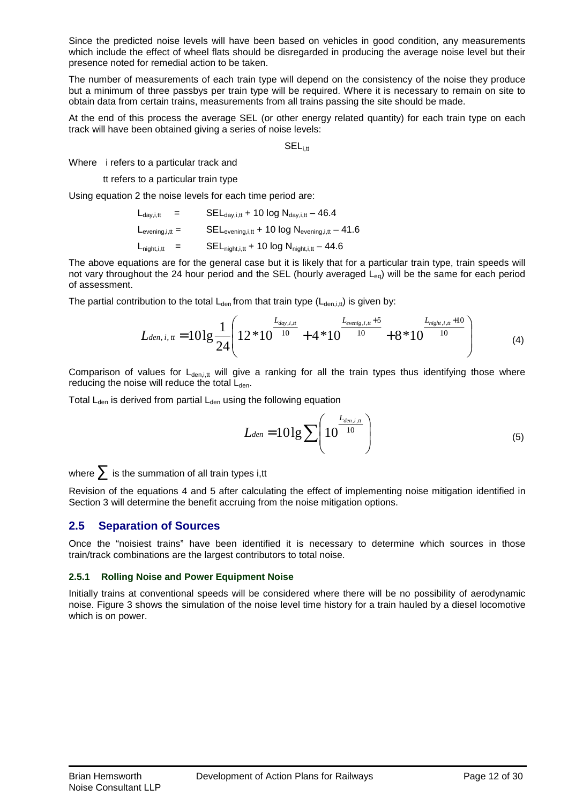Since the predicted noise levels will have been based on vehicles in good condition, any measurements which include the effect of wheel flats should be disregarded in producing the average noise level but their presence noted for remedial action to be taken.

The number of measurements of each train type will depend on the consistency of the noise they produce but a minimum of three passbys per train type will be required. Where it is necessary to remain on site to obtain data from certain trains, measurements from all trains passing the site should be made.

At the end of this process the average SEL (or other energy related quantity) for each train type on each track will have been obtained giving a series of noise levels:

 $SEL<sub>i</sub>$ 

Where i refers to a particular track and

tt refers to a particular train type

Using equation 2 the noise levels for each time period are:

 $L_{\text{day,i,tt}}$  = SEL $_{\text{day,i,tt}}$  + 10 log  $N_{\text{day,i,tt}}$  – 46.4  $\begin{aligned} L_{\text{evening},i,t} = \qquad \quad \text{SEL}_{\text{evening},i,t} + \text{10 log N}_{\text{evening},i,t} - \text{41.6} \end{aligned}$  $L_{\text{night,i,tt}}$  = SEL<sub>night,i,tt</sub> + 10 log  $N_{\text{night,i,tt}} - 44.6$ 

The above equations are for the general case but it is likely that for a particular train type, train speeds will not vary throughout the 24 hour period and the SEL (hourly averaged  $L_{eq}$ ) will be the same for each period of assessment.

The partial contribution to the total  $L_{den}$  from that train type  $(L_{den,i,t})$  is given by:

$$
L_{den,i,tt} = 101g \frac{1}{24} \left( 12 * 10^{-10} + 4 * 10^{-10} + 8 * 10^{-10} + 8 * 10^{-10} \right) \tag{4}
$$

Comparison of values for  $L_{den,itt}$  will give a ranking for all the train types thus identifying those where reducing the noise will reduce the total  $L_{den}$ .

Total  $L_{den}$  is derived from partial  $L_{den}$  using the following equation

$$
L_{den} = 10\lg \sum \left(10^{\frac{L_{den,i,n}}{10}}\right) \tag{5}
$$

where  $\sum$  is the summation of all train types i,tt

Revision of the equations 4 and 5 after calculating the effect of implementing noise mitigation identified in Section 3 will determine the benefit accruing from the noise mitigation options.

# **2.5 Separation of Sources**

Once the "noisiest trains" have been identified it is necessary to determine which sources in those train/track combinations are the largest contributors to total noise.

### **2.5.1 Rolling Noise and Power Equipment Noise**

Initially trains at conventional speeds will be considered where there will be no possibility of aerodynamic noise. Figure 3 shows the simulation of the noise level time history for a train hauled by a diesel locomotive which is on power.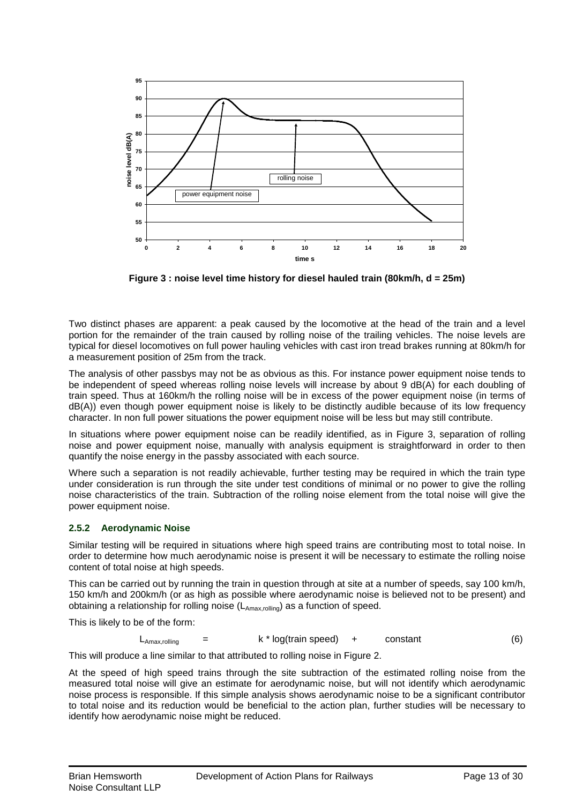

**Figure 3 : noise level time history for diesel hauled train (80km/h, d = 25m)** 

Two distinct phases are apparent: a peak caused by the locomotive at the head of the train and a level portion for the remainder of the train caused by rolling noise of the trailing vehicles. The noise levels are typical for diesel locomotives on full power hauling vehicles with cast iron tread brakes running at 80km/h for a measurement position of 25m from the track.

The analysis of other passbys may not be as obvious as this. For instance power equipment noise tends to be independent of speed whereas rolling noise levels will increase by about 9 dB(A) for each doubling of train speed. Thus at 160km/h the rolling noise will be in excess of the power equipment noise (in terms of dB(A)) even though power equipment noise is likely to be distinctly audible because of its low frequency character. In non full power situations the power equipment noise will be less but may still contribute.

In situations where power equipment noise can be readily identified, as in Figure 3, separation of rolling noise and power equipment noise, manually with analysis equipment is straightforward in order to then quantify the noise energy in the passby associated with each source.

Where such a separation is not readily achievable, further testing may be required in which the train type under consideration is run through the site under test conditions of minimal or no power to give the rolling noise characteristics of the train. Subtraction of the rolling noise element from the total noise will give the power equipment noise.

# **2.5.2 Aerodynamic Noise**

Similar testing will be required in situations where high speed trains are contributing most to total noise. In order to determine how much aerodynamic noise is present it will be necessary to estimate the rolling noise content of total noise at high speeds.

This can be carried out by running the train in question through at site at a number of speeds, say 100 km/h, 150 km/h and 200km/h (or as high as possible where aerodynamic noise is believed not to be present) and obtaining a relationship for rolling noise (LAmax,rolling) as a function of speed.

This is likely to be of the form:

$$
L_{\text{Amax,rolling}} = k * log(train speed) + constant
$$
 (6)

This will produce a line similar to that attributed to rolling noise in Figure 2.

At the speed of high speed trains through the site subtraction of the estimated rolling noise from the measured total noise will give an estimate for aerodynamic noise, but will not identify which aerodynamic noise process is responsible. If this simple analysis shows aerodynamic noise to be a significant contributor to total noise and its reduction would be beneficial to the action plan, further studies will be necessary to identify how aerodynamic noise might be reduced.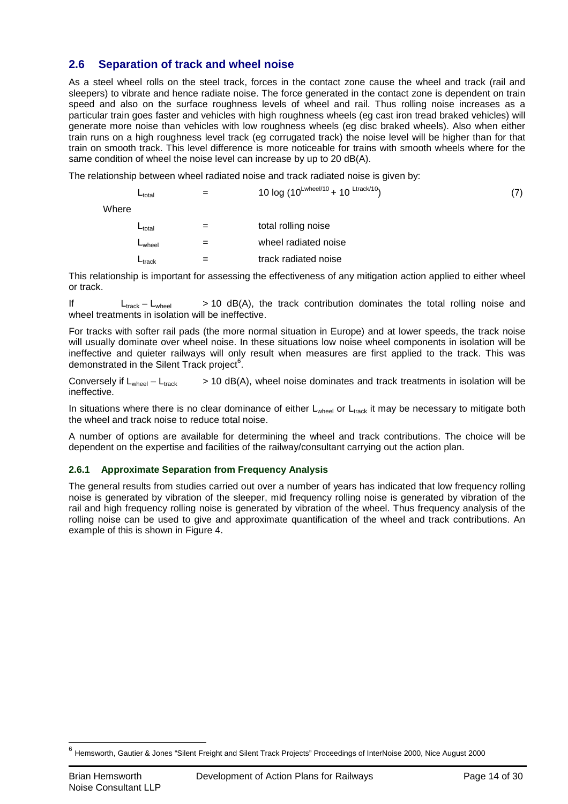# **2.6 Separation of track and wheel noise**

As a steel wheel rolls on the steel track, forces in the contact zone cause the wheel and track (rail and sleepers) to vibrate and hence radiate noise. The force generated in the contact zone is dependent on train speed and also on the surface roughness levels of wheel and rail. Thus rolling noise increases as a particular train goes faster and vehicles with high roughness wheels (eg cast iron tread braked vehicles) will generate more noise than vehicles with low roughness wheels (eg disc braked wheels). Also when either train runs on a high roughness level track (eg corrugated track) the noise level will be higher than for that train on smooth track. This level difference is more noticeable for trains with smooth wheels where for the same condition of wheel the noise level can increase by up to 20 dB(A).

The relationship between wheel radiated noise and track radiated noise is given by:

| U <sub>total</sub> | =           | 10 log (10 <sup>Lwheel/10</sup> + 10 <sup>Ltrack/10</sup> ) | (7)                 |
|--------------------|-------------|-------------------------------------------------------------|---------------------|
| Where              | $L_{total}$ | =                                                           | total rolling noise |

 $L_{\text{wheel}}$  = wheel radiated noise  $L_{\text{track}}$  = track radiated noise

This relationship is important for assessing the effectiveness of any mitigation action applied to either wheel or track.

If  $L_{\text{track}} - L_{\text{wheel}}$   $> 10 \text{ dB(A)}$ , the track contribution dominates the total rolling noise and wheel treatments in isolation will be ineffective.

For tracks with softer rail pads (the more normal situation in Europe) and at lower speeds, the track noise will usually dominate over wheel noise. In these situations low noise wheel components in isolation will be ineffective and quieter railways will only result when measures are first applied to the track. This was demonstrated in the Silent Track project<sup>6</sup>.

Conversely if  $L_{wheel} - L_{track}$  > 10 dB(A), wheel noise dominates and track treatments in isolation will be ineffective.

In situations where there is no clear dominance of either  $L_{wheel}$  or  $L_{track}$  it may be necessary to mitigate both the wheel and track noise to reduce total noise.

A number of options are available for determining the wheel and track contributions. The choice will be dependent on the expertise and facilities of the railway/consultant carrying out the action plan.

### **2.6.1 Approximate Separation from Frequency Analysis**

The general results from studies carried out over a number of years has indicated that low frequency rolling noise is generated by vibration of the sleeper, mid frequency rolling noise is generated by vibration of the rail and high frequency rolling noise is generated by vibration of the wheel. Thus frequency analysis of the rolling noise can be used to give and approximate quantification of the wheel and track contributions. An example of this is shown in Figure 4.

 6 Hemsworth, Gautier & Jones "Silent Freight and Silent Track Projects" Proceedings of InterNoise 2000, Nice August 2000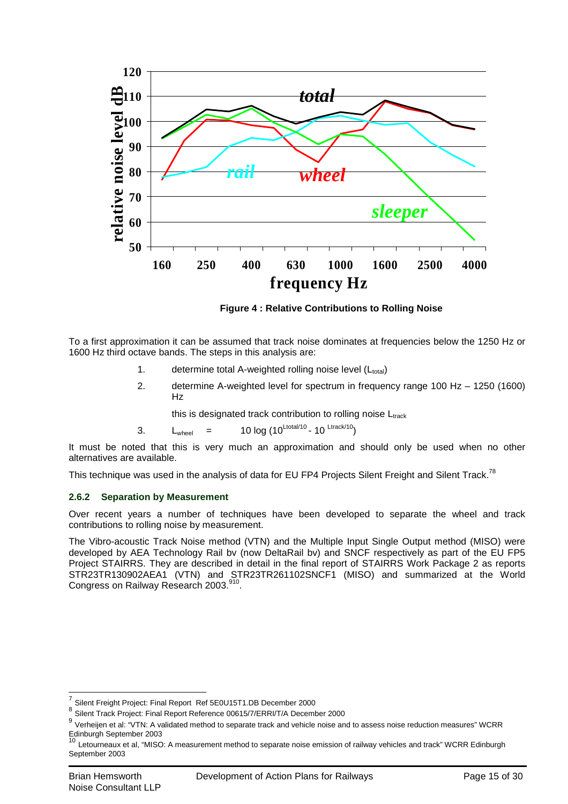

**Figure 4 : Relative Contributions to Rolling Noise** 

To a first approximation it can be assumed that track noise dominates at frequencies below the 1250 Hz or 1600 Hz third octave bands. The steps in this analysis are:

- 1. determine total A-weighted rolling noise level  $(L_{total})$
- 2. determine A-weighted level for spectrum in frequency range 100 Hz 1250 (1600) Hz

this is designated track contribution to rolling noise  $L_{track}$ 

3.  $L_{\text{wheel}} = 10 \log (10^{\text{Ltotal}/10} - 10^{\text{ Ltrack}/10})$ 

It must be noted that this is very much an approximation and should only be used when no other alternatives are available.

This technique was used in the analysis of data for EU FP4 Projects Silent Freight and Silent Track.<sup>78</sup>

# **2.6.2 Separation by Measurement**

Over recent years a number of techniques have been developed to separate the wheel and track contributions to rolling noise by measurement.

The Vibro-acoustic Track Noise method (VTN) and the Multiple Input Single Output method (MISO) were developed by AEA Technology Rail bv (now DeltaRail bv) and SNCF respectively as part of the EU FP5 Project STAIRRS. They are described in detail in the final report of STAIRRS Work Package 2 as reports STR23TR130902AEA1 (VTN) and STR23TR261102SNCF1 (MISO) and summarized at the World Congress on Railway Research 2003.<sup>910</sup>.

<sup>7</sup> Silent Freight Project: Final Report Ref 5E0U15T1.DB December 2000

<sup>8</sup> Silent Track Project: Final Report Reference 00615/7/ERRI/T/A December 2000

<sup>9</sup> Verheijen et al: "VTN: A validated method to separate track and vehicle noise and to assess noise reduction measures" WCRR Edinburgh September 2003<br><sup>10</sup> Letourneaux et al, "MISO: A measurement method to separate noise emission of railway vehicles and track" WCRR Edinburgh

September 2003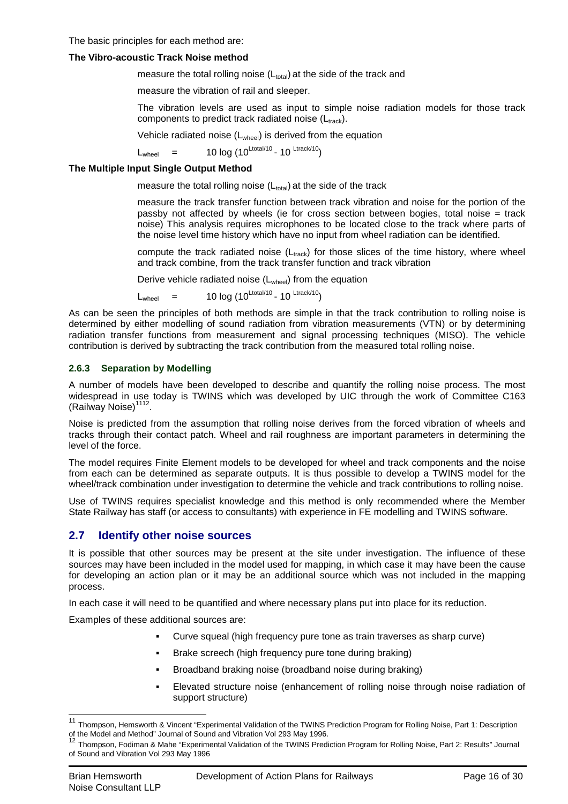The basic principles for each method are:

### **The Vibro-acoustic Track Noise method**

measure the total rolling noise  $(L_{total})$  at the side of the track and

measure the vibration of rail and sleeper.

The vibration levels are used as input to simple noise radiation models for those track components to predict track radiated noise  $(L<sub>track</sub>)$ .

Vehicle radiated noise (Lwheel) is derived from the equation

 $L_{\text{wheel}}$  = 10 log (10<sup>Ltotal/10</sup> - 10 <sup>Ltrack/10</sup>)

### **The Multiple Input Single Output Method**

measure the total rolling noise  $(L_{total})$  at the side of the track

measure the track transfer function between track vibration and noise for the portion of the passby not affected by wheels (ie for cross section between bogies, total noise  $=$  track noise) This analysis requires microphones to be located close to the track where parts of the noise level time history which have no input from wheel radiation can be identified.

compute the track radiated noise  $(L<sub>track</sub>)$  for those slices of the time history, where wheel and track combine, from the track transfer function and track vibration

Derive vehicle radiated noise  $(L_{wheel})$  from the equation

 $L_{wheel}$  = 10 log (10<sup>Ltotal/10</sup> - 10<sup>Ltrack/10</sup>)

As can be seen the principles of both methods are simple in that the track contribution to rolling noise is determined by either modelling of sound radiation from vibration measurements (VTN) or by determining radiation transfer functions from measurement and signal processing techniques (MISO). The vehicle contribution is derived by subtracting the track contribution from the measured total rolling noise.

### **2.6.3 Separation by Modelling**

A number of models have been developed to describe and quantify the rolling noise process. The most widespread in use today is TWINS which was developed by UIC through the work of Committee C163 (Railway Noise)<sup>1112</sup>.

Noise is predicted from the assumption that rolling noise derives from the forced vibration of wheels and tracks through their contact patch. Wheel and rail roughness are important parameters in determining the level of the force.

The model requires Finite Element models to be developed for wheel and track components and the noise from each can be determined as separate outputs. It is thus possible to develop a TWINS model for the wheel/track combination under investigation to determine the vehicle and track contributions to rolling noise.

Use of TWINS requires specialist knowledge and this method is only recommended where the Member State Railway has staff (or access to consultants) with experience in FE modelling and TWINS software.

# **2.7 Identify other noise sources**

It is possible that other sources may be present at the site under investigation. The influence of these sources may have been included in the model used for mapping, in which case it may have been the cause for developing an action plan or it may be an additional source which was not included in the mapping process.

In each case it will need to be quantified and where necessary plans put into place for its reduction.

Examples of these additional sources are:

- Curve squeal (high frequency pure tone as train traverses as sharp curve)
- Brake screech (high frequency pure tone during braking)
- Broadband braking noise (broadband noise during braking)
- Elevated structure noise (enhancement of rolling noise through noise radiation of support structure)

<sup>11</sup> Thompson, Hemsworth & Vincent "Experimental Validation of the TWINS Prediction Program for Rolling Noise, Part 1: Description of the Model and Method" Journal of Sound and Vibration Vol 293 May 1996.

<sup>12</sup> Thompson, Fodiman & Mahe "Experimental Validation of the TWINS Prediction Program for Rolling Noise, Part 2: Results" Journal of Sound and Vibration Vol 293 May 1996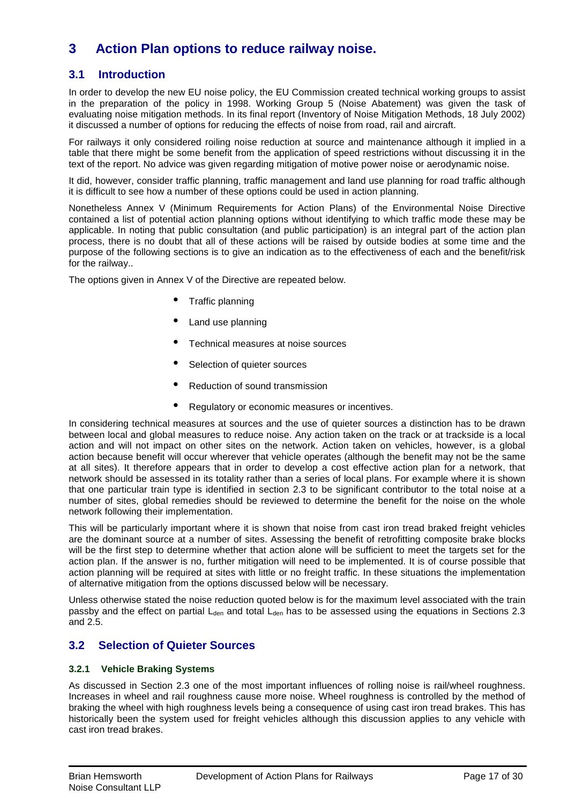# **3 Action Plan options to reduce railway noise.**

# **3.1 Introduction**

In order to develop the new EU noise policy, the EU Commission created technical working groups to assist in the preparation of the policy in 1998. Working Group 5 (Noise Abatement) was given the task of evaluating noise mitigation methods. In its final report (Inventory of Noise Mitigation Methods, 18 July 2002) it discussed a number of options for reducing the effects of noise from road, rail and aircraft.

For railways it only considered roiling noise reduction at source and maintenance although it implied in a table that there might be some benefit from the application of speed restrictions without discussing it in the text of the report. No advice was given regarding mitigation of motive power noise or aerodynamic noise.

It did, however, consider traffic planning, traffic management and land use planning for road traffic although it is difficult to see how a number of these options could be used in action planning.

Nonetheless Annex V (Minimum Requirements for Action Plans) of the Environmental Noise Directive contained a list of potential action planning options without identifying to which traffic mode these may be applicable. In noting that public consultation (and public participation) is an integral part of the action plan process, there is no doubt that all of these actions will be raised by outside bodies at some time and the purpose of the following sections is to give an indication as to the effectiveness of each and the benefit/risk for the railway..

The options given in Annex V of the Directive are repeated below.

- Traffic planning
- Land use planning
- Technical measures at noise sources
- Selection of quieter sources
- Reduction of sound transmission
- Regulatory or economic measures or incentives.

In considering technical measures at sources and the use of quieter sources a distinction has to be drawn between local and global measures to reduce noise. Any action taken on the track or at trackside is a local action and will not impact on other sites on the network. Action taken on vehicles, however, is a global action because benefit will occur wherever that vehicle operates (although the benefit may not be the same at all sites). It therefore appears that in order to develop a cost effective action plan for a network, that network should be assessed in its totality rather than a series of local plans. For example where it is shown that one particular train type is identified in section 2.3 to be significant contributor to the total noise at a number of sites, global remedies should be reviewed to determine the benefit for the noise on the whole network following their implementation.

This will be particularly important where it is shown that noise from cast iron tread braked freight vehicles are the dominant source at a number of sites. Assessing the benefit of retrofitting composite brake blocks will be the first step to determine whether that action alone will be sufficient to meet the targets set for the action plan. If the answer is no, further mitigation will need to be implemented. It is of course possible that action planning will be required at sites with little or no freight traffic. In these situations the implementation of alternative mitigation from the options discussed below will be necessary.

Unless otherwise stated the noise reduction quoted below is for the maximum level associated with the train passby and the effect on partial  $L_{den}$  and total  $L_{den}$  has to be assessed using the equations in Sections 2.3 and 2.5.

# **3.2 Selection of Quieter Sources**

### **3.2.1 Vehicle Braking Systems**

As discussed in Section 2.3 one of the most important influences of rolling noise is rail/wheel roughness. Increases in wheel and rail roughness cause more noise. Wheel roughness is controlled by the method of braking the wheel with high roughness levels being a consequence of using cast iron tread brakes. This has historically been the system used for freight vehicles although this discussion applies to any vehicle with cast iron tread brakes.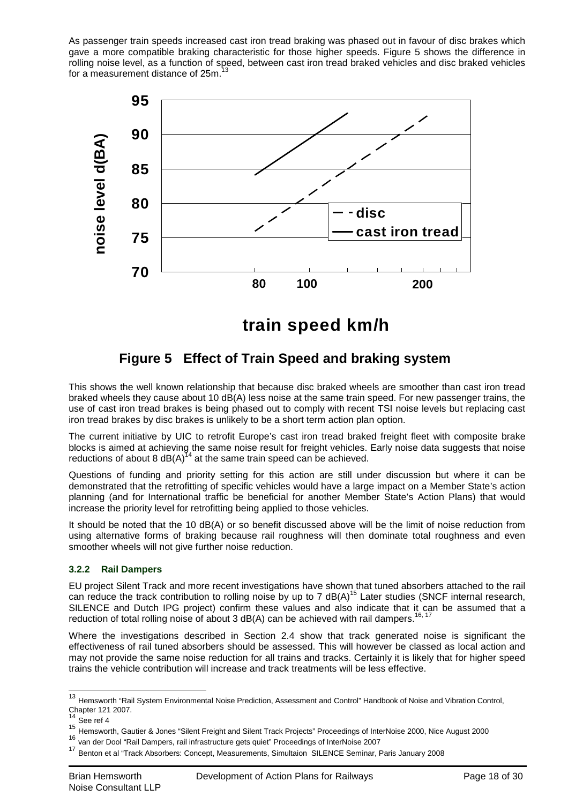As passenger train speeds increased cast iron tread braking was phased out in favour of disc brakes which gave a more compatible braking characteristic for those higher speeds. Figure 5 shows the difference in rolling noise level, as a function of speed, between cast iron tread braked vehicles and disc braked vehicles for a measurement distance of 25m.<sup>13</sup>



**train speed km/h**

# **Figure 5 Effect of Train Speed and braking system**

This shows the well known relationship that because disc braked wheels are smoother than cast iron tread braked wheels they cause about 10 dB(A) less noise at the same train speed. For new passenger trains, the use of cast iron tread brakes is being phased out to comply with recent TSI noise levels but replacing cast iron tread brakes by disc brakes is unlikely to be a short term action plan option.

The current initiative by UIC to retrofit Europe's cast iron tread braked freight fleet with composite brake blocks is aimed at achieving the same noise result for freight vehicles. Early noise data suggests that noise reductions of about 8  $dB(A)^{14}$  at the same train speed can be achieved.

Questions of funding and priority setting for this action are still under discussion but where it can be demonstrated that the retrofitting of specific vehicles would have a large impact on a Member State's action planning (and for International traffic be beneficial for another Member State's Action Plans) that would increase the priority level for retrofitting being applied to those vehicles.

It should be noted that the 10 dB(A) or so benefit discussed above will be the limit of noise reduction from using alternative forms of braking because rail roughness will then dominate total roughness and even smoother wheels will not give further noise reduction.

# **3.2.2 Rail Dampers**

EU project Silent Track and more recent investigations have shown that tuned absorbers attached to the rail can reduce the track contribution to rolling noise by up to 7  $dB(A)^{15}$  Later studies (SNCF internal research, SILENCE and Dutch IPG project) confirm these values and also indicate that it can be assumed that a reduction of total rolling noise of about 3 dB(A) can be achieved with rail dampers.<sup>1</sup>

Where the investigations described in Section 2.4 show that track generated noise is significant the effectiveness of rail tuned absorbers should be assessed. This will however be classed as local action and may not provide the same noise reduction for all trains and tracks. Certainly it is likely that for higher speed trains the vehicle contribution will increase and track treatments will be less effective.

 $\overline{\phantom{a}}$ 

<sup>&</sup>lt;sup>13</sup> Hemsworth "Rail System Environmental Noise Prediction, Assessment and Control" Handbook of Noise and Vibration Control, Chapter 121 2007.

See ref 4

<sup>15</sup> Hemsworth, Gautier & Jones "Silent Freight and Silent Track Projects" Proceedings of InterNoise 2000, Nice August 2000

<sup>16</sup> van der Dool "Rail Dampers, rail infrastructure gets quiet" Proceedings of InterNoise 2007

<sup>&</sup>lt;sup>17</sup> Benton et al "Track Absorbers: Concept, Measurements, Simultaion SILENCE Seminar, Paris January 2008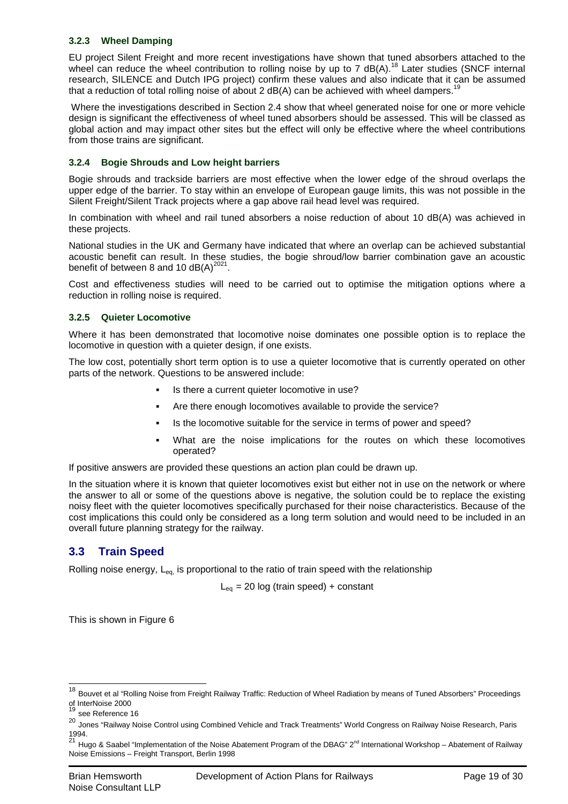### **3.2.3 Wheel Damping**

EU project Silent Freight and more recent investigations have shown that tuned absorbers attached to the wheel can reduce the wheel contribution to rolling noise by up to 7 dB(A).<sup>18</sup> Later studies (SNCF internal research, SILENCE and Dutch IPG project) confirm these values and also indicate that it can be assumed that a reduction of total rolling noise of about 2  $dB(A)$  can be achieved with wheel dampers.<sup>19</sup>

Where the investigations described in Section 2.4 show that wheel generated noise for one or more vehicle design is significant the effectiveness of wheel tuned absorbers should be assessed. This will be classed as global action and may impact other sites but the effect will only be effective where the wheel contributions from those trains are significant.

### **3.2.4 Bogie Shrouds and Low height barriers**

Bogie shrouds and trackside barriers are most effective when the lower edge of the shroud overlaps the upper edge of the barrier. To stay within an envelope of European gauge limits, this was not possible in the Silent Freight/Silent Track projects where a gap above rail head level was required.

In combination with wheel and rail tuned absorbers a noise reduction of about 10 dB(A) was achieved in these projects.

National studies in the UK and Germany have indicated that where an overlap can be achieved substantial acoustic benefit can result. In these studies, the bogie shroud/low barrier combination gave an acoustic benefit of between 8 and 10  $dB(A)^{2021}$ .

Cost and effectiveness studies will need to be carried out to optimise the mitigation options where a reduction in rolling noise is required.

### **3.2.5 Quieter Locomotive**

Where it has been demonstrated that locomotive noise dominates one possible option is to replace the locomotive in question with a quieter design, if one exists.

The low cost, potentially short term option is to use a quieter locomotive that is currently operated on other parts of the network. Questions to be answered include:

- Is there a current quieter locomotive in use?
- Are there enough locomotives available to provide the service?
- Is the locomotive suitable for the service in terms of power and speed?
- What are the noise implications for the routes on which these locomotives operated?

If positive answers are provided these questions an action plan could be drawn up.

In the situation where it is known that quieter locomotives exist but either not in use on the network or where the answer to all or some of the questions above is negative, the solution could be to replace the existing noisy fleet with the quieter locomotives specifically purchased for their noise characteristics. Because of the cost implications this could only be considered as a long term solution and would need to be included in an overall future planning strategy for the railway.

# **3.3 Train Speed**

Rolling noise energy,  $L_{eq}$  is proportional to the ratio of train speed with the relationship

 $L_{eq}$  = 20 log (train speed) + constant

This is shown in Figure 6

<sup>&</sup>lt;sup>18</sup> Bouvet et al "Rolling Noise from Freight Railway Traffic: Reduction of Wheel Radiation by means of Tuned Absorbers" Proceedings of InterNoise 2000

see Reference 16

<sup>20</sup> Jones "Railway Noise Control using Combined Vehicle and Track Treatments" World Congress on Railway Noise Research, Paris 1994.<br><sup>21</sup> Hugo & Saabel "Implementation of the Noise Abatement Program of the DBAG" 2<sup>nd</sup> International Workshop – Abatement of Railway

Noise Emissions – Freight Transport, Berlin 1998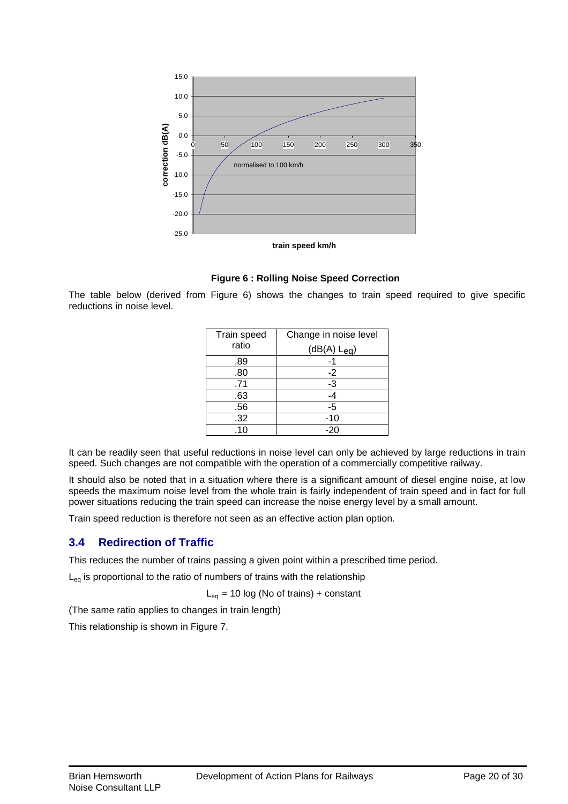

**Figure 6 : Rolling Noise Speed Correction** 

The table below (derived from Figure 6) shows the changes to train speed required to give specific reductions in noise level.

| Train speed | Change in noise level |
|-------------|-----------------------|
| ratio       | $(dB(A) L_{eq})$      |
| .89         |                       |
| .80         | $-2$                  |
| .71         | $-3$                  |
| .63         | $-4$                  |
| .56         | -5                    |
| .32         | $-10$                 |
| .10         | $-20$                 |

It can be readily seen that useful reductions in noise level can only be achieved by large reductions in train speed. Such changes are not compatible with the operation of a commercially competitive railway.

It should also be noted that in a situation where there is a significant amount of diesel engine noise, at low speeds the maximum noise level from the whole train is fairly independent of train speed and in fact for full power situations reducing the train speed can increase the noise energy level by a small amount.

Train speed reduction is therefore not seen as an effective action plan option.

# **3.4 Redirection of Traffic**

This reduces the number of trains passing a given point within a prescribed time period.

 $L_{eq}$  is proportional to the ratio of numbers of trains with the relationship

 $L_{eq}$  = 10 log (No of trains) + constant

(The same ratio applies to changes in train length)

This relationship is shown in Figure 7.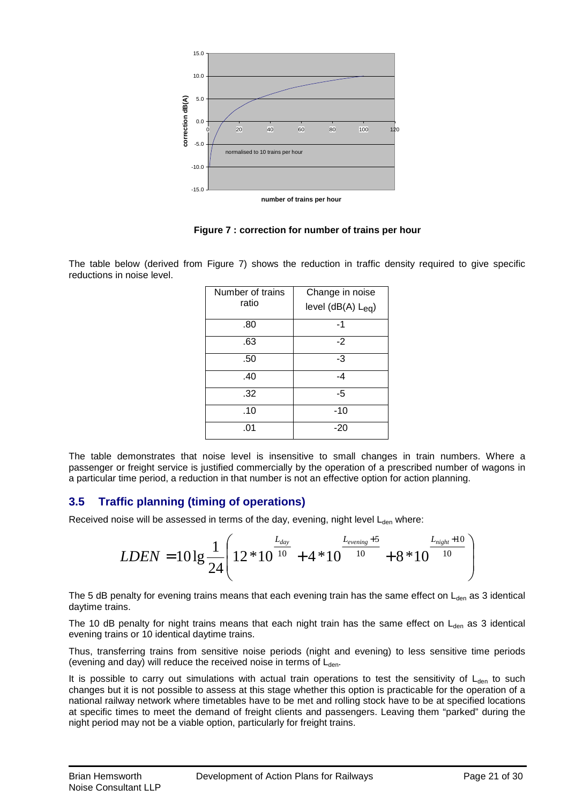

**Figure 7 : correction for number of trains per hour** 

The table below (derived from Figure 7) shows the reduction in traffic density required to give specific reductions in noise level.

| Number of trains<br>ratio | Change in noise<br>level $(dB(A) L_{eq})$ |
|---------------------------|-------------------------------------------|
| .80                       | $-1$                                      |
| .63                       | -2                                        |
| .50                       | -3                                        |
| .40                       | -4                                        |
| .32                       | -5                                        |
| .10                       | -10                                       |
| .01                       | $-20$                                     |

The table demonstrates that noise level is insensitive to small changes in train numbers. Where a passenger or freight service is justified commercially by the operation of a prescribed number of wagons in a particular time period, a reduction in that number is not an effective option for action planning.

# **3.5 Traffic planning (timing of operations)**

Received noise will be assessed in terms of the day, evening, night level  $L_{den}$  where:

$$
LDEN = 101g \frac{1}{24} \left( 12 * 10^{\frac{L_{day}}{10}} + 4 * 10^{\frac{L_{evening}+5}{10}} + 8 * 10^{\frac{L_{night}+10}{10}} \right)
$$

The 5 dB penalty for evening trains means that each evening train has the same effect on  $L_{den}$  as 3 identical daytime trains.

The 10 dB penalty for night trains means that each night train has the same effect on  $L_{den}$  as 3 identical evening trains or 10 identical daytime trains.

Thus, transferring trains from sensitive noise periods (night and evening) to less sensitive time periods (evening and day) will reduce the received noise in terms of  $L_{den}$ .

It is possible to carry out simulations with actual train operations to test the sensitivity of  $L_{den}$  to such changes but it is not possible to assess at this stage whether this option is practicable for the operation of a national railway network where timetables have to be met and rolling stock have to be at specified locations at specific times to meet the demand of freight clients and passengers. Leaving them "parked" during the night period may not be a viable option, particularly for freight trains.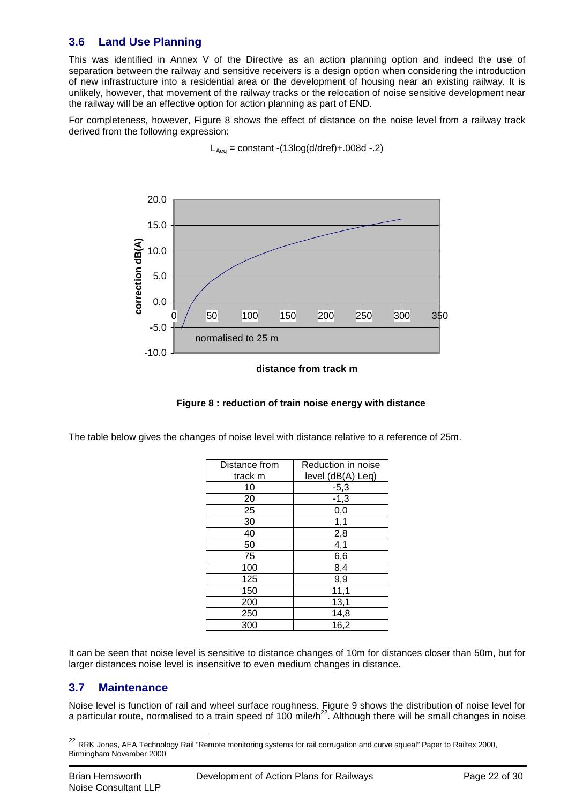# **3.6 Land Use Planning**

This was identified in Annex V of the Directive as an action planning option and indeed the use of separation between the railway and sensitive receivers is a design option when considering the introduction of new infrastructure into a residential area or the development of housing near an existing railway. It is unlikely, however, that movement of the railway tracks or the relocation of noise sensitive development near the railway will be an effective option for action planning as part of END.

For completeness, however, Figure 8 shows the effect of distance on the noise level from a railway track derived from the following expression:



 $L_{Aea}$  = constant -(13log(d/dref)+.008d -.2)

#### **distance from track m**



The table below gives the changes of noise level with distance relative to a reference of 25m.

| Distance from | Reduction in noise |
|---------------|--------------------|
| track m       | level (dB(A) Leq)  |
| 10            | $-5,3$             |
| 20            | $-1,3$             |
| 25            | 0,0                |
| 30            | 1,1                |
| 40            | 2,8                |
| 50            | 4,1                |
| 75            | 6,6                |
| 100           | 8,4                |
| 125           | 9,9                |
| 150           | 11,1               |
| 200           | 13,1               |
| 250           | 14,8               |
| 300           | 16,2               |

It can be seen that noise level is sensitive to distance changes of 10m for distances closer than 50m, but for larger distances noise level is insensitive to even medium changes in distance.

# **3.7 Maintenance**

Noise level is function of rail and wheel surface roughness. Figure 9 shows the distribution of noise level for a particular route, normalised to a train speed of 100 mile/h<sup>22</sup>. Although there will be small changes in noise

 $\overline{\phantom{a}}$ 

 $^{22}$  RRK Jones, AEA Technology Rail "Remote monitoring systems for rail corrugation and curve squeal" Paper to Railtex 2000, Birmingham November 2000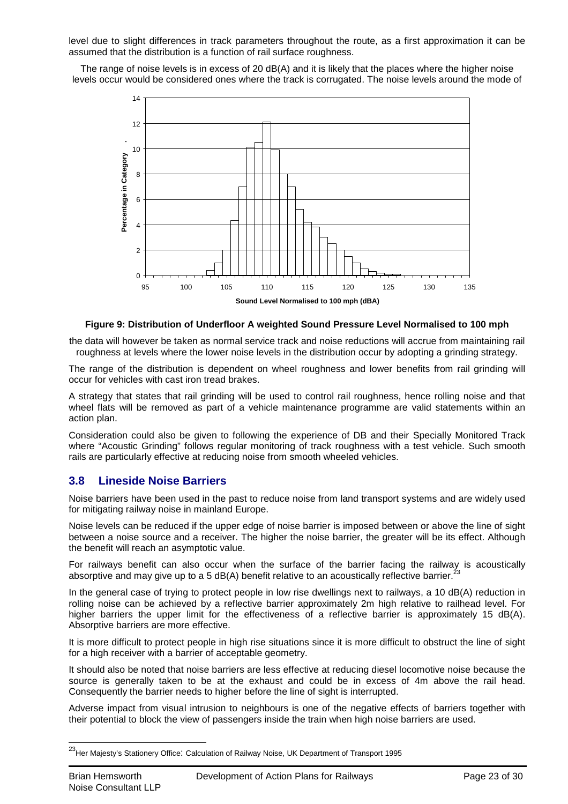level due to slight differences in track parameters throughout the route, as a first approximation it can be assumed that the distribution is a function of rail surface roughness.

The range of noise levels is in excess of 20 dB(A) and it is likely that the places where the higher noise levels occur would be considered ones where the track is corrugated. The noise levels around the mode of



### **Figure 9: Distribution of Underfloor A weighted Sound Pressure Level Normalised to 100 mph**

the data will however be taken as normal service track and noise reductions will accrue from maintaining rail roughness at levels where the lower noise levels in the distribution occur by adopting a grinding strategy.

The range of the distribution is dependent on wheel roughness and lower benefits from rail grinding will occur for vehicles with cast iron tread brakes.

A strategy that states that rail grinding will be used to control rail roughness, hence rolling noise and that wheel flats will be removed as part of a vehicle maintenance programme are valid statements within an action plan.

Consideration could also be given to following the experience of DB and their Specially Monitored Track where "Acoustic Grinding" follows regular monitoring of track roughness with a test vehicle. Such smooth rails are particularly effective at reducing noise from smooth wheeled vehicles.

# **3.8 Lineside Noise Barriers**

Noise barriers have been used in the past to reduce noise from land transport systems and are widely used for mitigating railway noise in mainland Europe.

Noise levels can be reduced if the upper edge of noise barrier is imposed between or above the line of sight between a noise source and a receiver. The higher the noise barrier, the greater will be its effect. Although the benefit will reach an asymptotic value.

For railways benefit can also occur when the surface of the barrier facing the railway is acoustically absorptive and may give up to a 5 dB(A) benefit relative to an acoustically reflective barrier.

In the general case of trying to protect people in low rise dwellings next to railways, a 10 dB(A) reduction in rolling noise can be achieved by a reflective barrier approximately 2m high relative to railhead level. For higher barriers the upper limit for the effectiveness of a reflective barrier is approximately 15 dB(A). Absorptive barriers are more effective.

It is more difficult to protect people in high rise situations since it is more difficult to obstruct the line of sight for a high receiver with a barrier of acceptable geometry.

It should also be noted that noise barriers are less effective at reducing diesel locomotive noise because the source is generally taken to be at the exhaust and could be in excess of 4m above the rail head. Consequently the barrier needs to higher before the line of sight is interrupted.

Adverse impact from visual intrusion to neighbours is one of the negative effects of barriers together with their potential to block the view of passengers inside the train when high noise barriers are used.

<sup>&</sup>lt;sup>23</sup>Her Majesty's Stationery Office: Calculation of Railway Noise, UK Department of Transport 1995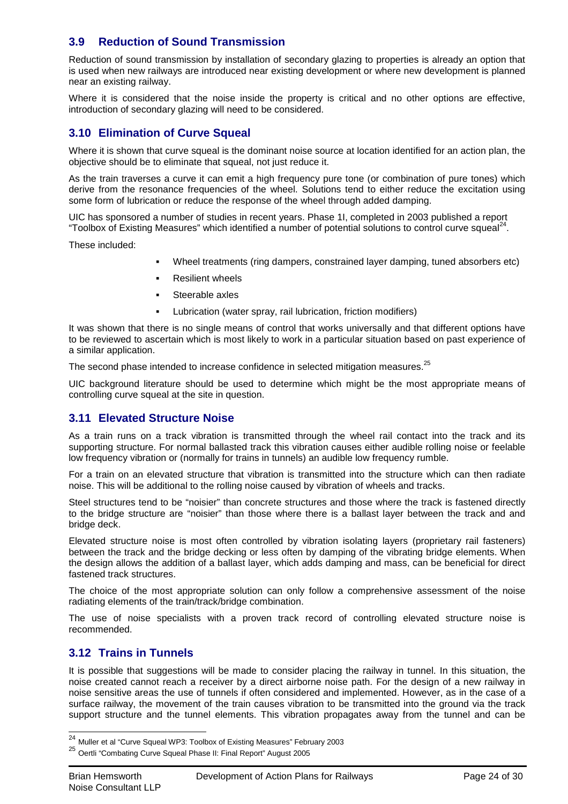# **3.9 Reduction of Sound Transmission**

Reduction of sound transmission by installation of secondary glazing to properties is already an option that is used when new railways are introduced near existing development or where new development is planned near an existing railway.

Where it is considered that the noise inside the property is critical and no other options are effective, introduction of secondary glazing will need to be considered.

# **3.10 Elimination of Curve Squeal**

Where it is shown that curve squeal is the dominant noise source at location identified for an action plan, the objective should be to eliminate that squeal, not just reduce it.

As the train traverses a curve it can emit a high frequency pure tone (or combination of pure tones) which derive from the resonance frequencies of the wheel. Solutions tend to either reduce the excitation using some form of lubrication or reduce the response of the wheel through added damping.

UIC has sponsored a number of studies in recent years. Phase 1I, completed in 2003 published a report "Toolbox of Existing Measures" which identified a number of potential solutions to control curve squeal<sup>24</sup>.

These included:

- Wheel treatments (ring dampers, constrained layer damping, tuned absorbers etc)
- Resilient wheels
- Steerable axles
- Lubrication (water spray, rail lubrication, friction modifiers)

It was shown that there is no single means of control that works universally and that different options have to be reviewed to ascertain which is most likely to work in a particular situation based on past experience of a similar application.

The second phase intended to increase confidence in selected mitigation measures. $^{25}$ 

UIC background literature should be used to determine which might be the most appropriate means of controlling curve squeal at the site in question.

# **3.11 Elevated Structure Noise**

As a train runs on a track vibration is transmitted through the wheel rail contact into the track and its supporting structure. For normal ballasted track this vibration causes either audible rolling noise or feelable low frequency vibration or (normally for trains in tunnels) an audible low frequency rumble.

For a train on an elevated structure that vibration is transmitted into the structure which can then radiate noise. This will be additional to the rolling noise caused by vibration of wheels and tracks.

Steel structures tend to be "noisier" than concrete structures and those where the track is fastened directly to the bridge structure are "noisier" than those where there is a ballast layer between the track and and bridge deck.

Elevated structure noise is most often controlled by vibration isolating layers (proprietary rail fasteners) between the track and the bridge decking or less often by damping of the vibrating bridge elements. When the design allows the addition of a ballast layer, which adds damping and mass, can be beneficial for direct fastened track structures.

The choice of the most appropriate solution can only follow a comprehensive assessment of the noise radiating elements of the train/track/bridge combination.

The use of noise specialists with a proven track record of controlling elevated structure noise is recommended.

# **3.12 Trains in Tunnels**

It is possible that suggestions will be made to consider placing the railway in tunnel. In this situation, the noise created cannot reach a receiver by a direct airborne noise path. For the design of a new railway in noise sensitive areas the use of tunnels if often considered and implemented. However, as in the case of a surface railway, the movement of the train causes vibration to be transmitted into the ground via the track support structure and the tunnel elements. This vibration propagates away from the tunnel and can be

 $^{24}$  Muller et al "Curve Squeal WP3: Toolbox of Existing Measures" February 2003

<sup>25</sup> Oertli "Combating Curve Squeal Phase II: Final Report" August 2005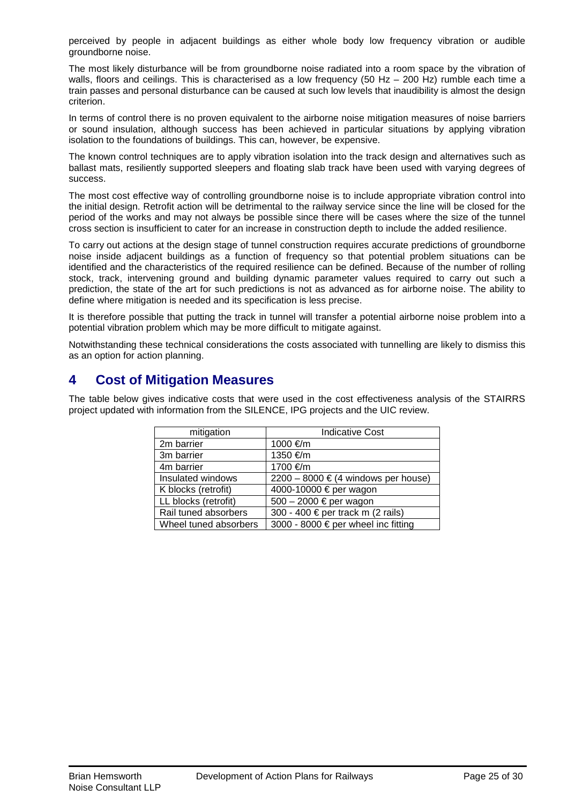perceived by people in adjacent buildings as either whole body low frequency vibration or audible groundborne noise.

The most likely disturbance will be from groundborne noise radiated into a room space by the vibration of walls, floors and ceilings. This is characterised as a low frequency (50 Hz – 200 Hz) rumble each time a train passes and personal disturbance can be caused at such low levels that inaudibility is almost the design criterion.

In terms of control there is no proven equivalent to the airborne noise mitigation measures of noise barriers or sound insulation, although success has been achieved in particular situations by applying vibration isolation to the foundations of buildings. This can, however, be expensive.

The known control techniques are to apply vibration isolation into the track design and alternatives such as ballast mats, resiliently supported sleepers and floating slab track have been used with varying degrees of success.

The most cost effective way of controlling groundborne noise is to include appropriate vibration control into the initial design. Retrofit action will be detrimental to the railway service since the line will be closed for the period of the works and may not always be possible since there will be cases where the size of the tunnel cross section is insufficient to cater for an increase in construction depth to include the added resilience.

To carry out actions at the design stage of tunnel construction requires accurate predictions of groundborne noise inside adjacent buildings as a function of frequency so that potential problem situations can be identified and the characteristics of the required resilience can be defined. Because of the number of rolling stock, track, intervening ground and building dynamic parameter values required to carry out such a prediction, the state of the art for such predictions is not as advanced as for airborne noise. The ability to define where mitigation is needed and its specification is less precise.

It is therefore possible that putting the track in tunnel will transfer a potential airborne noise problem into a potential vibration problem which may be more difficult to mitigate against.

Notwithstanding these technical considerations the costs associated with tunnelling are likely to dismiss this as an option for action planning.

# **4 Cost of Mitigation Measures**

The table below gives indicative costs that were used in the cost effectiveness analysis of the STAIRRS project updated with information from the SILENCE, IPG projects and the UIC review.

| mitigation            | <b>Indicative Cost</b>                          |
|-----------------------|-------------------------------------------------|
| 2m barrier            | 1000 €/m                                        |
| 3m barrier            | 1350 €/m                                        |
| 4m barrier            | 1700 €/m                                        |
| Insulated windows     | $2200 - 8000 \in (4 \text{ windows per house})$ |
| K blocks (retrofit)   | 4000-10000 € per wagon                          |
| LL blocks (retrofit)  | 500 - 2000 € per wagon                          |
| Rail tuned absorbers  | 300 - 400 € per track m (2 rails)               |
| Wheel tuned absorbers | 3000 - 8000 € per wheel inc fitting             |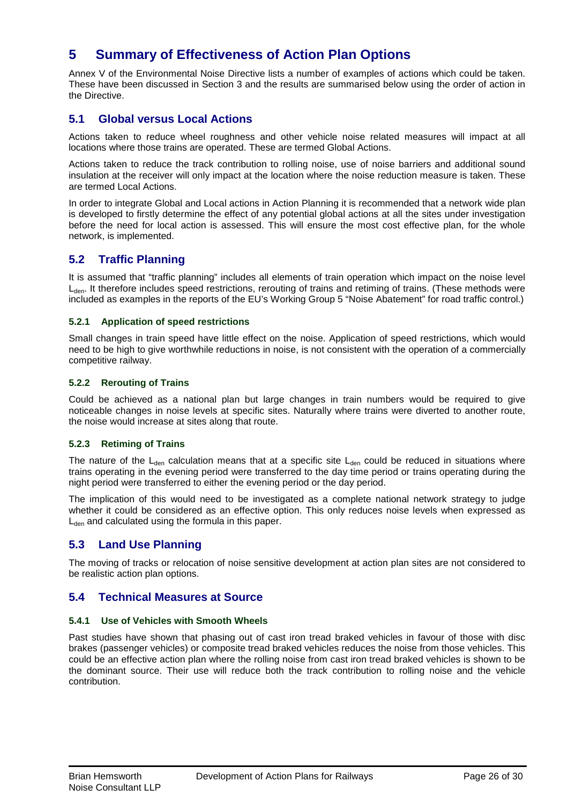# **5 Summary of Effectiveness of Action Plan Options**

Annex V of the Environmental Noise Directive lists a number of examples of actions which could be taken. These have been discussed in Section 3 and the results are summarised below using the order of action in the Directive.

# **5.1 Global versus Local Actions**

Actions taken to reduce wheel roughness and other vehicle noise related measures will impact at all locations where those trains are operated. These are termed Global Actions.

Actions taken to reduce the track contribution to rolling noise, use of noise barriers and additional sound insulation at the receiver will only impact at the location where the noise reduction measure is taken. These are termed Local Actions.

In order to integrate Global and Local actions in Action Planning it is recommended that a network wide plan is developed to firstly determine the effect of any potential global actions at all the sites under investigation before the need for local action is assessed. This will ensure the most cost effective plan, for the whole network, is implemented.

# **5.2 Traffic Planning**

It is assumed that "traffic planning" includes all elements of train operation which impact on the noise level L<sub>den</sub>. It therefore includes speed restrictions, rerouting of trains and retiming of trains. (These methods were included as examples in the reports of the EU's Working Group 5 "Noise Abatement" for road traffic control.)

### **5.2.1 Application of speed restrictions**

Small changes in train speed have little effect on the noise. Application of speed restrictions, which would need to be high to give worthwhile reductions in noise, is not consistent with the operation of a commercially competitive railway.

### **5.2.2 Rerouting of Trains**

Could be achieved as a national plan but large changes in train numbers would be required to give noticeable changes in noise levels at specific sites. Naturally where trains were diverted to another route, the noise would increase at sites along that route.

# **5.2.3 Retiming of Trains**

The nature of the  $L_{den}$  calculation means that at a specific site  $L_{den}$  could be reduced in situations where trains operating in the evening period were transferred to the day time period or trains operating during the night period were transferred to either the evening period or the day period.

The implication of this would need to be investigated as a complete national network strategy to judge whether it could be considered as an effective option. This only reduces noise levels when expressed as  $L<sub>den</sub>$  and calculated using the formula in this paper.

# **5.3 Land Use Planning**

The moving of tracks or relocation of noise sensitive development at action plan sites are not considered to be realistic action plan options.

# **5.4 Technical Measures at Source**

### **5.4.1 Use of Vehicles with Smooth Wheels**

Past studies have shown that phasing out of cast iron tread braked vehicles in favour of those with disc brakes (passenger vehicles) or composite tread braked vehicles reduces the noise from those vehicles. This could be an effective action plan where the rolling noise from cast iron tread braked vehicles is shown to be the dominant source. Their use will reduce both the track contribution to rolling noise and the vehicle contribution.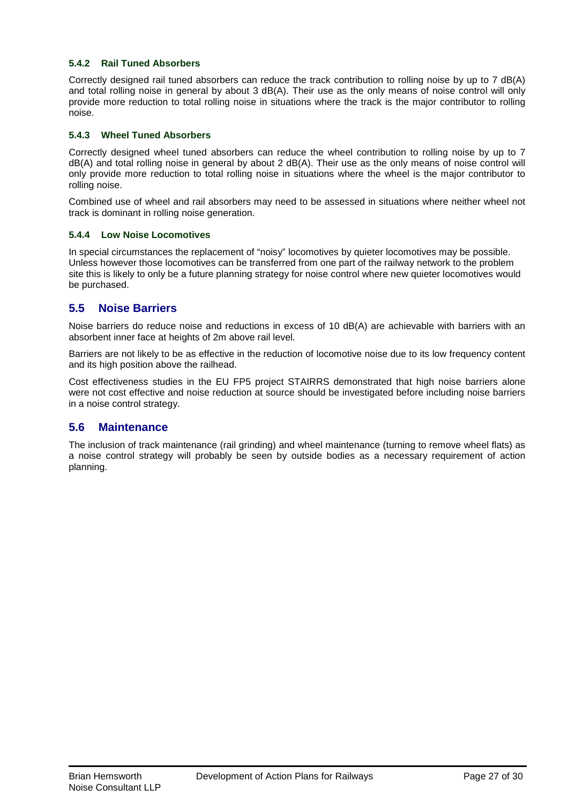### **5.4.2 Rail Tuned Absorbers**

Correctly designed rail tuned absorbers can reduce the track contribution to rolling noise by up to 7 dB(A) and total rolling noise in general by about 3 dB(A). Their use as the only means of noise control will only provide more reduction to total rolling noise in situations where the track is the major contributor to rolling noise.

### **5.4.3 Wheel Tuned Absorbers**

Correctly designed wheel tuned absorbers can reduce the wheel contribution to rolling noise by up to 7 dB(A) and total rolling noise in general by about 2 dB(A). Their use as the only means of noise control will only provide more reduction to total rolling noise in situations where the wheel is the major contributor to rolling noise.

Combined use of wheel and rail absorbers may need to be assessed in situations where neither wheel not track is dominant in rolling noise generation.

### **5.4.4 Low Noise Locomotives**

In special circumstances the replacement of "noisy" locomotives by quieter locomotives may be possible. Unless however those locomotives can be transferred from one part of the railway network to the problem site this is likely to only be a future planning strategy for noise control where new quieter locomotives would be purchased.

# **5.5 Noise Barriers**

Noise barriers do reduce noise and reductions in excess of 10 dB(A) are achievable with barriers with an absorbent inner face at heights of 2m above rail level.

Barriers are not likely to be as effective in the reduction of locomotive noise due to its low frequency content and its high position above the railhead.

Cost effectiveness studies in the EU FP5 project STAIRRS demonstrated that high noise barriers alone were not cost effective and noise reduction at source should be investigated before including noise barriers in a noise control strategy.

# **5.6 Maintenance**

The inclusion of track maintenance (rail grinding) and wheel maintenance (turning to remove wheel flats) as a noise control strategy will probably be seen by outside bodies as a necessary requirement of action planning.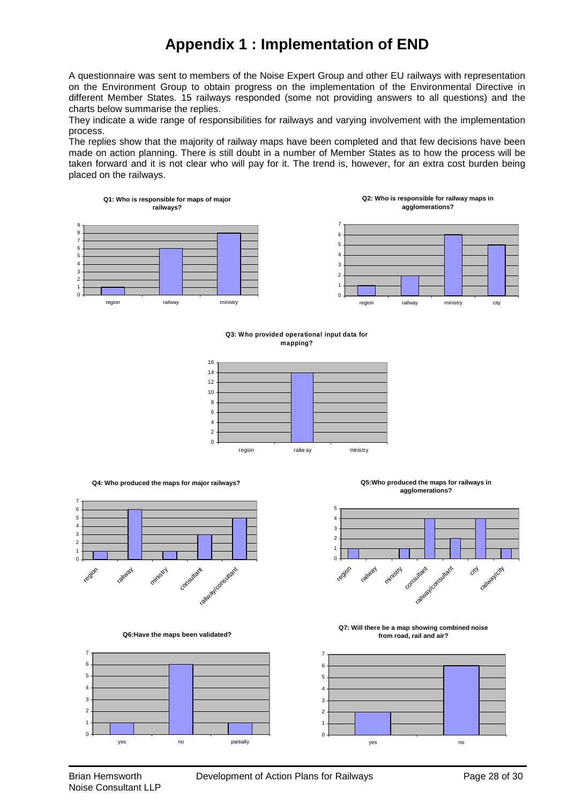# **Appendix 1 : Implementation of END**

A questionnaire was sent to members of the Noise Expert Group and other EU railways with representation on the Environment Group to obtain progress on the implementation of the Environmental Directive in different Member States. 15 railways responded (some not providing answers to all questions) and the charts below summarise the replies.

They indicate a wide range of responsibilities for railways and varying involvement with the implementation process.

The replies show that the majority of railway maps have been completed and that few decisions have been made on action planning. There is still doubt in a number of Member States as to how the process will be taken forward and it is not clear who will pay for it. The trend is, however, for an extra cost burden being placed on the railways.



#### **Q3: Who provided operational input data for mapping?**



**Q4: Who produced the maps for major railways?**



**Q6:Have the maps been validated?**



**Q5:Who produced the maps for railways in agglomerations?**



**Q7: Will there be a map showing combined noise from road, rail and air?**

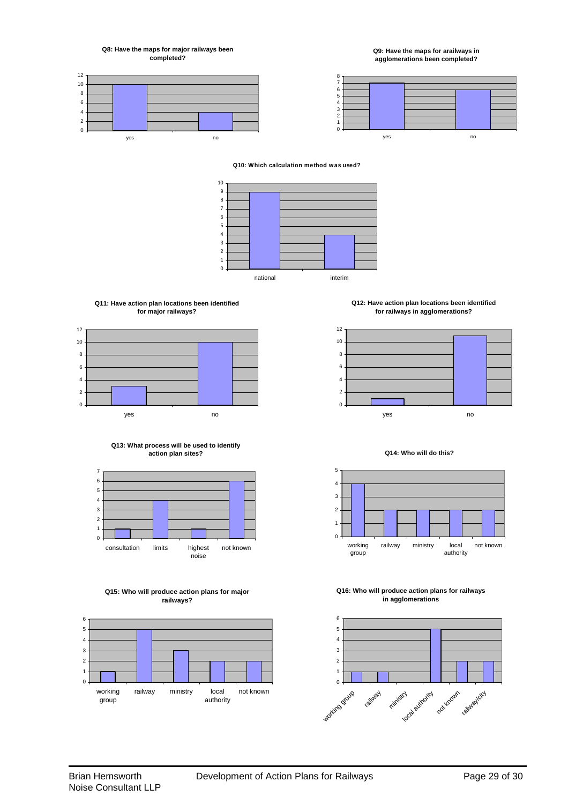**Q8: Have the maps for major railways been completed?**

**Q9: Have the maps for arailways in agglomerations been completed?**





#### **Q10: Which calculation method was used?**



#### **Q11: Have action plan locations been identified for major railways?**











**Q12: Have action plan locations been identified for railways in agglomerations?**



#### **Q14: Who will do this?**



#### **Q16: Who will produce action plans for railways in agglomerations**